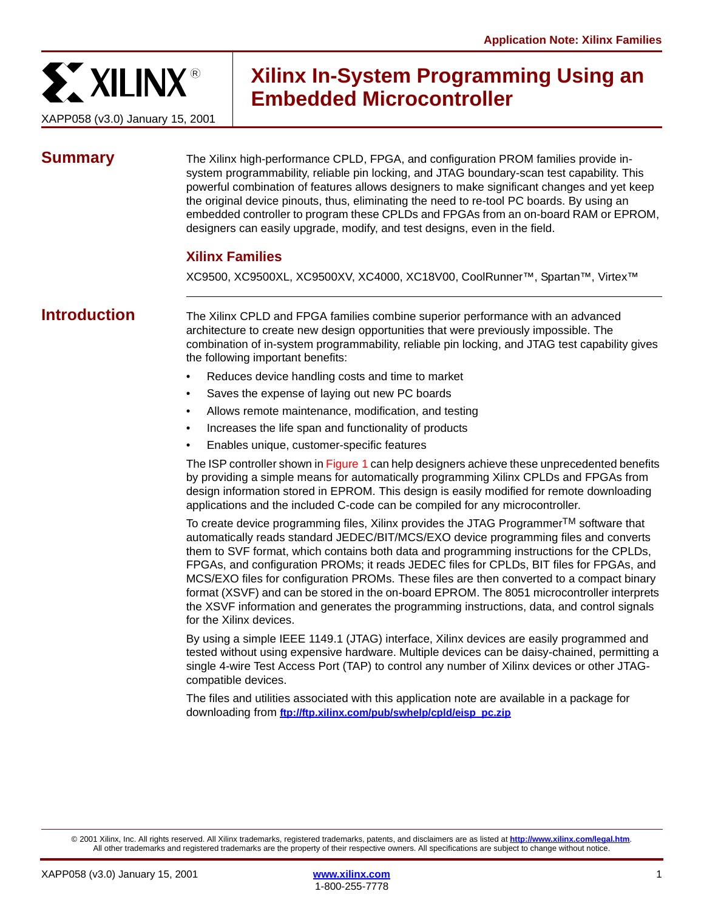

# **Xilinx In-System Programming Using an Embedded Microcontroller**

**Summary** The Xilinx high-performance CPLD, FPGA, and configuration PROM families provide insystem programmability, reliable pin locking, and JTAG boundary-scan test capability. This powerful combination of features allows designers to make significant changes and yet keep the original device pinouts, thus, eliminating the need to re-tool PC boards. By using an embedded controller to program these CPLDs and FPGAs from an on-board RAM or EPROM, designers can easily upgrade, modify, and test designs, even in the field.

# **Xilinx Families**

XC9500, XC9500XL, XC9500XV, XC4000, XC18V00, CoolRunner™, Spartan™, Virtex™

**Introduction** The Xilinx CPLD and FPGA families combine superior performance with an advanced architecture to create new design opportunities that were previously impossible. The combination of in-system programmability, reliable pin locking, and JTAG test capability gives the following important benefits:

- Reduces device handling costs and time to market
- Saves the expense of laying out new PC boards
- Allows remote maintenance, modification, and testing
- Increases the life span and functionality of products
- Enables unique, customer-specific features

The ISP controller shown in [Figure 1](#page-1-0) can help designers achieve these unprecedented benefits by providing a simple means for automatically programming Xilinx CPLDs and FPGAs from design information stored in EPROM. This design is easily modified for remote downloading applications and the included C-code can be compiled for any microcontroller.

To create device programming files, Xilinx provides the JTAG Programmer<sup>TM</sup> software that automatically reads standard JEDEC/BIT/MCS/EXO device programming files and converts them to SVF format, which contains both data and programming instructions for the CPLDs, FPGAs, and configuration PROMs; it reads JEDEC files for CPLDs, BIT files for FPGAs, and MCS/EXO files for configuration PROMs. These files are then converted to a compact binary format (XSVF) and can be stored in the on-board EPROM. The 8051 microcontroller interprets the XSVF information and generates the programming instructions, data, and control signals for the Xilinx devices.

By using a simple IEEE 1149.1 (JTAG) interface, Xilinx devices are easily programmed and tested without using expensive hardware. Multiple devices can be daisy-chained, permitting a single 4-wire Test Access Port (TAP) to control any number of Xilinx devices or other JTAGcompatible devices.

The files and utilities associated with this application note are available in a package for downloading from **[ftp://ftp.xilinx.com/pub/swhelp/cpld/eisp\\_pc.zip](ftp://ftp.xilinx.com/pub/swhelp/cpld/eisp_pc.zip)**

© 2001 Xilinx, Inc. All rights reserved. All Xilinx trademarks, registered trademarks, patents, and disclaimers are as listed at **<http://www.xilinx.com/legal.htm>**. All other trademarks and registered trademarks are the property of their respective owners. All specifications are subject to change without notice.

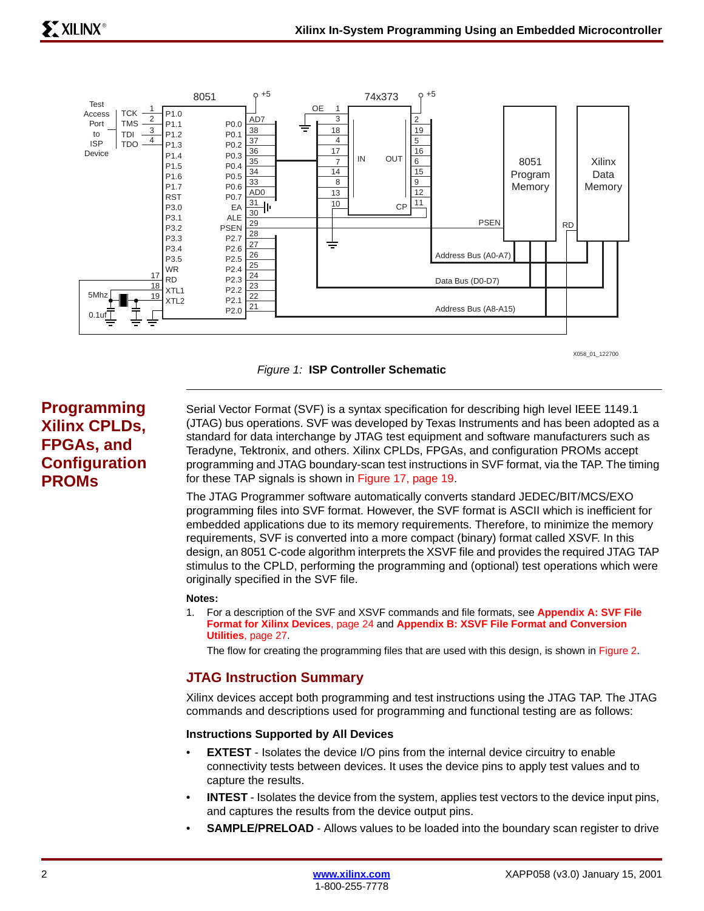



# <span id="page-1-0"></span>**Programming Xilinx CPLDs, FPGAs, and Configuration PROMs**

Serial Vector Format (SVF) is a syntax specification for describing high level IEEE 1149.1 (JTAG) bus operations. SVF was developed by Texas Instruments and has been adopted as a standard for data interchange by JTAG test equipment and software manufacturers such as Teradyne, Tektronix, and others. Xilinx CPLDs, FPGAs, and configuration PROMs accept programming and JTAG boundary-scan test instructions in SVF format, via the TAP. The timing for these TAP signals is shown in [Figure 17, page 19](#page-18-0).

The JTAG Programmer software automatically converts standard JEDEC/BIT/MCS/EXO programming files into SVF format. However, the SVF format is ASCII which is inefficient for embedded applications due to its memory requirements. Therefore, to minimize the memory requirements, SVF is converted into a more compact (binary) format called XSVF. In this design, an 8051 C-code algorithm interprets the XSVF file and provides the required JTAG TAP stimulus to the CPLD, performing the programming and (optional) test operations which were originally specified in the SVF file.

## **Notes:**

1. For a description of the SVF and XSVF commands and file formats, see **[Appendix A: SVF File](#page-23-0)  [Format for Xilinx Devices](#page-23-0)**, page 24 and **[Appendix B: XSVF File Format and Conversion](#page-26-0)  Utilities**[, page 27.](#page-26-0)

The flow for creating the programming files that are used with this design, is shown in [Figure 2](#page-3-0).

# **JTAG Instruction Summary**

Xilinx devices accept both programming and test instructions using the JTAG TAP. The JTAG commands and descriptions used for programming and functional testing are as follows:

## **Instructions Supported by All Devices**

- **EXTEST** Isolates the device I/O pins from the internal device circuitry to enable connectivity tests between devices. It uses the device pins to apply test values and to capture the results.
- **INTEST** Isolates the device from the system, applies test vectors to the device input pins, and captures the results from the device output pins.
- **SAMPLE/PRELOAD** Allows values to be loaded into the boundary scan register to drive

1-800-255-7778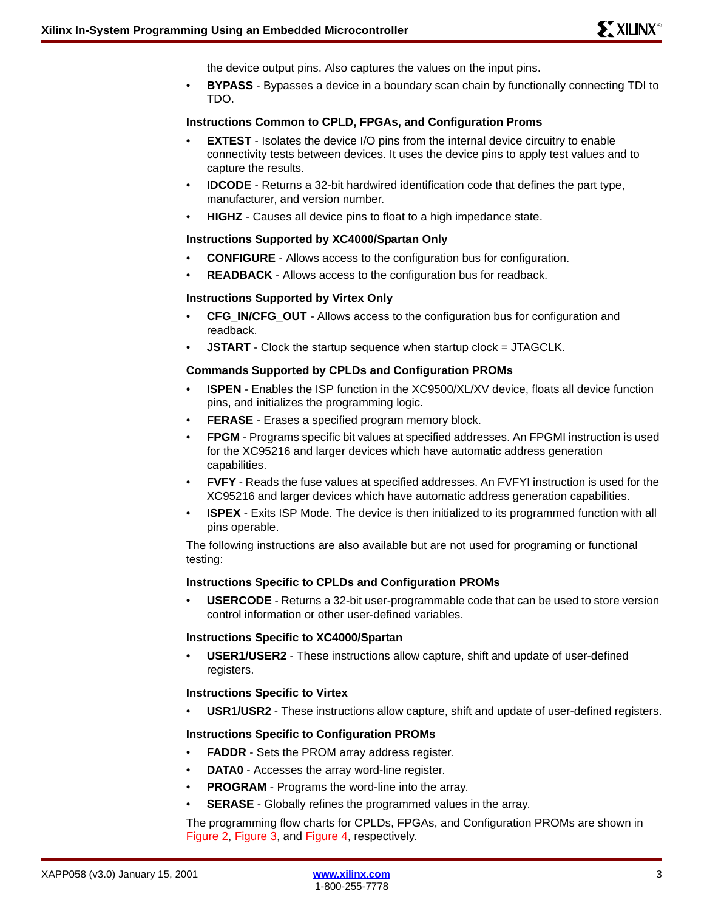the device output pins. Also captures the values on the input pins.

• **BYPASS** - Bypasses a device in a boundary scan chain by functionally connecting TDI to TDO.

# **Instructions Common to CPLD, FPGAs, and Configuration Proms**

- **EXTEST** Isolates the device I/O pins from the internal device circuitry to enable connectivity tests between devices. It uses the device pins to apply test values and to capture the results.
- **IDCODE** Returns a 32-bit hardwired identification code that defines the part type, manufacturer, and version number.
- **HIGHZ** Causes all device pins to float to a high impedance state.

# **Instructions Supported by XC4000/Spartan Only**

- **CONFIGURE** Allows access to the configuration bus for configuration.
- **READBACK** Allows access to the configuration bus for readback.

# **Instructions Supported by Virtex Only**

- **CFG\_IN/CFG\_OUT** Allows access to the configuration bus for configuration and readback.
- **JSTART** Clock the startup sequence when startup clock = JTAGCLK.

# **Commands Supported by CPLDs and Configuration PROMs**

- **ISPEN** Enables the ISP function in the XC9500/XL/XV device, floats all device function pins, and initializes the programming logic.
- **FERASE** Erases a specified program memory block.
- **FPGM** Programs specific bit values at specified addresses. An FPGMI instruction is used for the XC95216 and larger devices which have automatic address generation capabilities.
- **FVFY** Reads the fuse values at specified addresses. An FVFYI instruction is used for the XC95216 and larger devices which have automatic address generation capabilities.
- **ISPEX** Exits ISP Mode. The device is then initialized to its programmed function with all pins operable.

The following instructions are also available but are not used for programing or functional testing:

## **Instructions Specific to CPLDs and Configuration PROMs**

• **USERCODE** - Returns a 32-bit user-programmable code that can be used to store version control information or other user-defined variables.

## **Instructions Specific to XC4000/Spartan**

• **USER1/USER2** - These instructions allow capture, shift and update of user-defined registers.

# **Instructions Specific to Virtex**

• **USR1/USR2** - These instructions allow capture, shift and update of user-defined registers.

# **Instructions Specific to Configuration PROMs**

- **FADDR** Sets the PROM array address register.
- **DATA0** Accesses the array word-line register.
- **PROGRAM** Programs the word-line into the array.
- **SERASE** Globally refines the programmed values in the array.

The programming flow charts for CPLDs, FPGAs, and Configuration PROMs are shown in [Figure 2,](#page-3-0) [Figure 3,](#page-3-1) and [Figure 4](#page-4-0), respectively.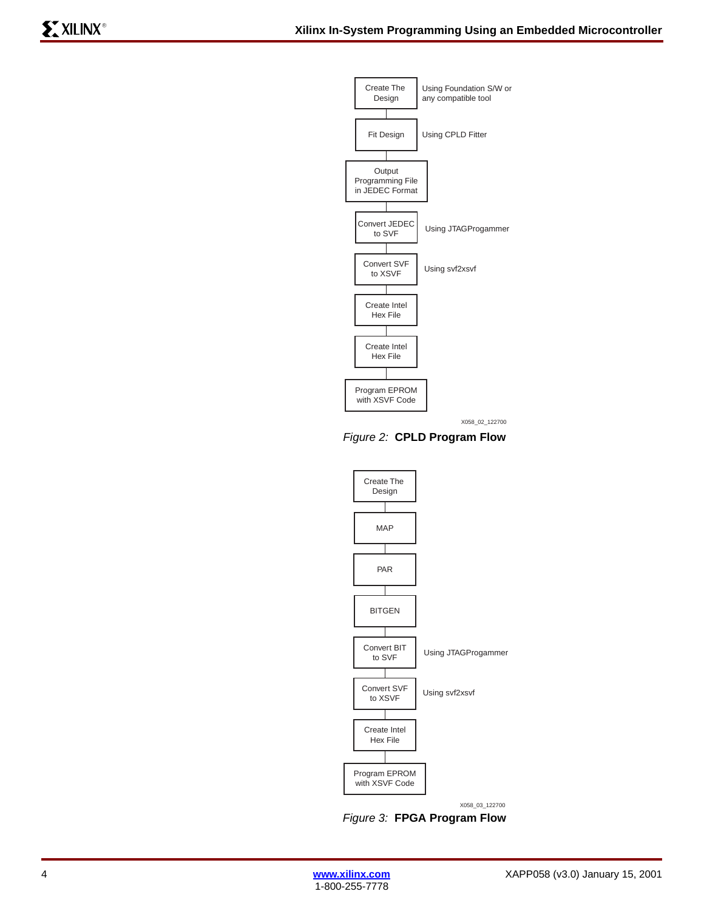

X058\_02\_122700

<span id="page-3-0"></span>*Figure 2:* **CPLD Program Flow**



X058\_03\_122700

<span id="page-3-1"></span>*Figure 3:* **FPGA Program Flow**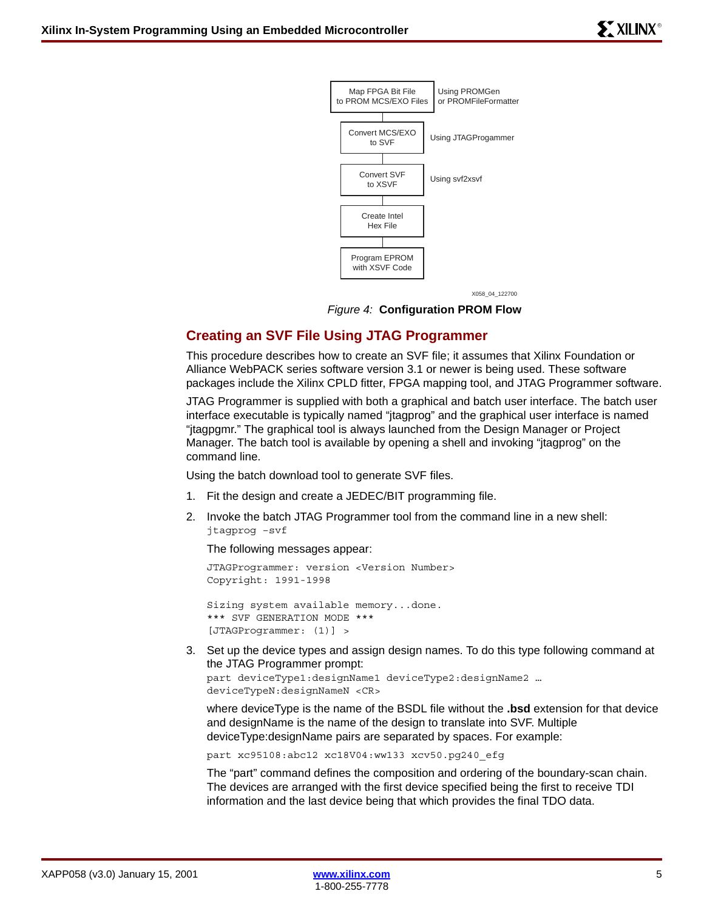

X058\_04\_122700

*Figure 4:* **Configuration PROM Flow**

# <span id="page-4-0"></span>**Creating an SVF File Using JTAG Programmer**

This procedure describes how to create an SVF file; it assumes that Xilinx Foundation or Alliance WebPACK series software version 3.1 or newer is being used. These software packages include the Xilinx CPLD fitter, FPGA mapping tool, and JTAG Programmer software.

JTAG Programmer is supplied with both a graphical and batch user interface. The batch user interface executable is typically named "jtagprog" and the graphical user interface is named "jtagpgmr." The graphical tool is always launched from the Design Manager or Project Manager. The batch tool is available by opening a shell and invoking "jtagprog" on the command line.

Using the batch download tool to generate SVF files.

- 1. Fit the design and create a JEDEC/BIT programming file.
- 2. Invoke the batch JTAG Programmer tool from the command line in a new shell: jtagprog –svf

The following messages appear:

```
JTAGProgrammer: version <Version Number> 
Copyright: 1991-1998
```
Sizing system available memory...done. \*\*\* SVF GENERATION MODE \*\*\* [JTAGProgrammer: (1)] >

3. Set up the device types and assign design names. To do this type following command at the JTAG Programmer prompt:

part deviceType1:designName1 deviceType2:designName2 … deviceTypeN:designNameN <CR>

where deviceType is the name of the BSDL file without the **.bsd** extension for that device and designName is the name of the design to translate into SVF. Multiple deviceType:designName pairs are separated by spaces. For example:

part xc95108:abc12 xc18V04:ww133 xcv50.pg240\_efg

The "part" command defines the composition and ordering of the boundary-scan chain. The devices are arranged with the first device specified being the first to receive TDI information and the last device being that which provides the final TDO data.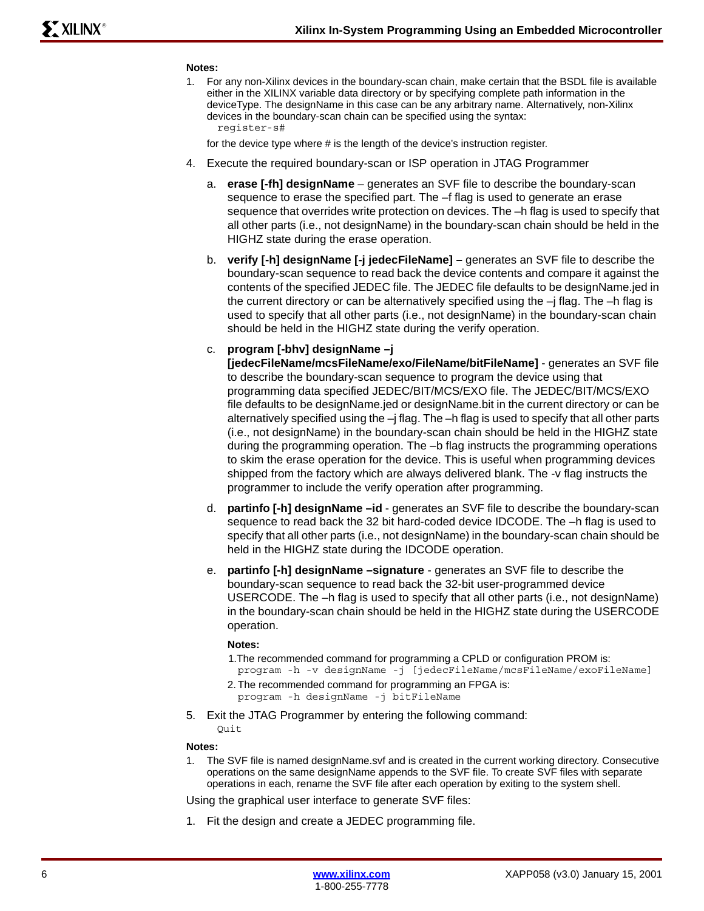#### **Notes:**

1. For any non-Xilinx devices in the boundary-scan chain, make certain that the BSDL file is available either in the XILINX variable data directory or by specifying complete path information in the deviceType. The designName in this case can be any arbitrary name. Alternatively, non-Xilinx devices in the boundary-scan chain can be specified using the syntax: register-s#

for the device type where # is the length of the device's instruction register.

- 4. Execute the required boundary-scan or ISP operation in JTAG Programmer
	- a. **erase [-fh] designName** generates an SVF file to describe the boundary-scan sequence to erase the specified part. The –f flag is used to generate an erase sequence that overrides write protection on devices. The –h flag is used to specify that all other parts (i.e., not designName) in the boundary-scan chain should be held in the HIGHZ state during the erase operation.
	- b. **verify [-h] designName [-j jedecFileName] –** generates an SVF file to describe the boundary-scan sequence to read back the device contents and compare it against the contents of the specified JEDEC file. The JEDEC file defaults to be designName.jed in the current directory or can be alternatively specified using the  $-i$  flag. The  $-i$  flag is used to specify that all other parts (i.e., not designName) in the boundary-scan chain should be held in the HIGHZ state during the verify operation.
	- c. **program [-bhv] designName –j**

**[jedecFileName/mcsFileName/exo/FileName/bitFileName]** - generates an SVF file to describe the boundary-scan sequence to program the device using that programming data specified JEDEC/BIT/MCS/EXO file. The JEDEC/BIT/MCS/EXO file defaults to be designName.jed or designName.bit in the current directory or can be alternatively specified using the  $-i$  flag. The  $-h$  flag is used to specify that all other parts (i.e., not designName) in the boundary-scan chain should be held in the HIGHZ state during the programming operation. The –b flag instructs the programming operations to skim the erase operation for the device. This is useful when programming devices shipped from the factory which are always delivered blank. The -v flag instructs the programmer to include the verify operation after programming.

- d. **partinfo [-h] designName –id**  generates an SVF file to describe the boundary-scan sequence to read back the 32 bit hard-coded device IDCODE. The –h flag is used to specify that all other parts (i.e., not designName) in the boundary-scan chain should be held in the HIGHZ state during the IDCODE operation.
- e. **partinfo [-h] designName –signature**  generates an SVF file to describe the boundary-scan sequence to read back the 32-bit user-programmed device USERCODE. The –h flag is used to specify that all other parts (i.e., not designName) in the boundary-scan chain should be held in the HIGHZ state during the USERCODE operation.

#### **Notes:**

1.The recommended command for programming a CPLD or configuration PROM is:

program -h -v designName -j [jedecFileName/mcsFileName/exoFileName] 2. The recommended command for programming an FPGA is:

program -h designName -j bitFileName

5. Exit the JTAG Programmer by entering the following command:

Quit

#### **Notes:**

1. The SVF file is named designName.svf and is created in the current working directory. Consecutive operations on the same designName appends to the SVF file. To create SVF files with separate operations in each, rename the SVF file after each operation by exiting to the system shell.

Using the graphical user interface to generate SVF files:

1. Fit the design and create a JEDEC programming file.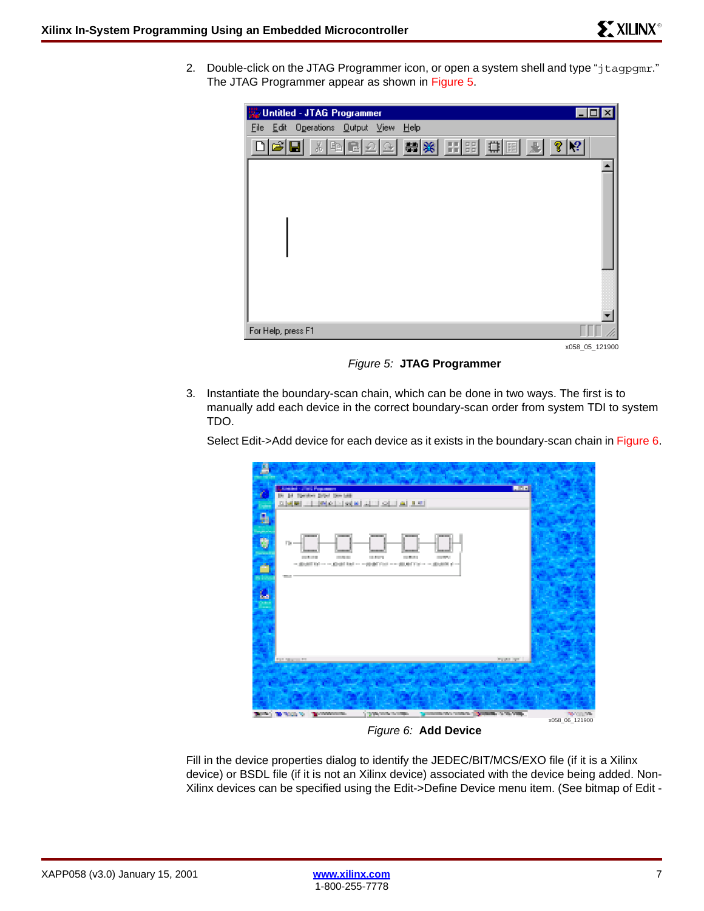2. Double-click on the JTAG Programmer icon, or open a system shell and type "jtagpgmr." The JTAG Programmer appear as shown in [Figure 5.](#page-6-0)



*Figure 5:* **JTAG Programmer**

<span id="page-6-0"></span>3. Instantiate the boundary-scan chain, which can be done in two ways. The first is to manually add each device in the correct boundary-scan order from system TDI to system TDO.

Select Edit->Add device for each device as it exists in the boundary-scan chain in [Figure 6](#page-6-1).



*Figure 6:* **Add Device**

<span id="page-6-1"></span>Fill in the device properties dialog to identify the JEDEC/BIT/MCS/EXO file (if it is a Xilinx device) or BSDL file (if it is not an Xilinx device) associated with the device being added. Non-Xilinx devices can be specified using the Edit->Define Device menu item. (See bitmap of Edit -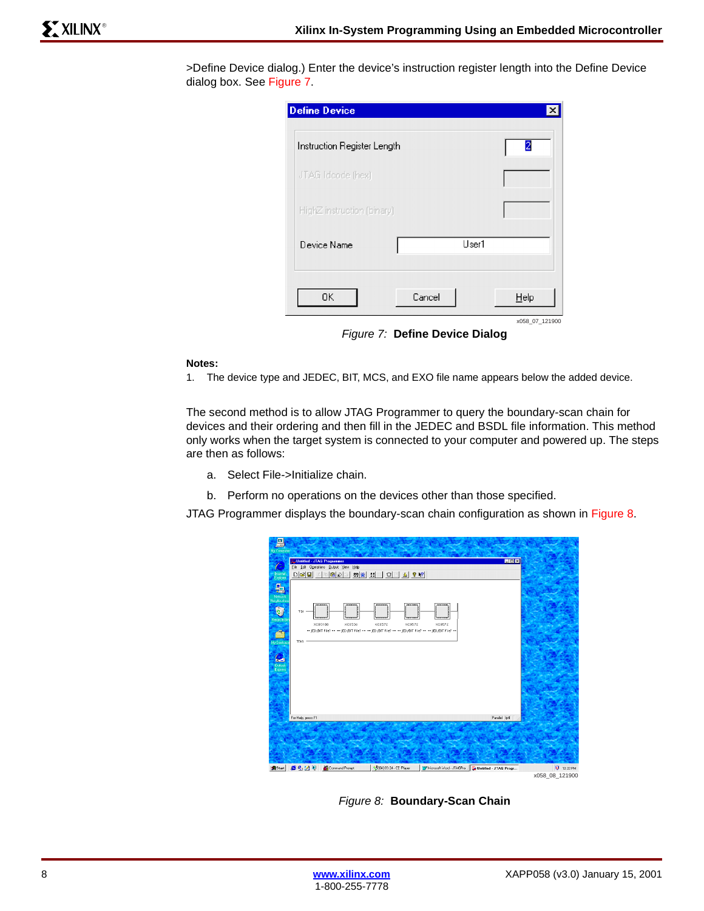| >Define Device dialog.) Enter the device's instruction register length into the Define Device |  |  |  |
|-----------------------------------------------------------------------------------------------|--|--|--|
| dialog box. See Figure 7.                                                                     |  |  |  |

| <b>Define Device</b>        |        |       | ×              |
|-----------------------------|--------|-------|----------------|
| Instruction Register Length |        |       | 2              |
| JTAG Idcode (hex)           |        |       |                |
| HighZ instruction (binary)  |        |       |                |
| Device Name                 |        | User1 |                |
| 0K.                         | Cancel |       | Help           |
|                             |        |       | x058 07 121900 |

*Figure 7:* **Define Device Dialog**

## <span id="page-7-1"></span>**Notes:**

1. The device type and JEDEC, BIT, MCS, and EXO file name appears below the added device.

The second method is to allow JTAG Programmer to query the boundary-scan chain for devices and their ordering and then fill in the JEDEC and BSDL file information. This method only works when the target system is connected to your computer and powered up. The steps are then as follows:

- a. Select File->Initialize chain.
- b. Perform no operations on the devices other than those specified.

JTAG Programmer displays the boundary-scan chain configuration as shown in [Figure 8](#page-7-0).

| 튼<br>My Computer                                                                                                                                                                                                                                               |                                             |                                       |                                                                                                                              |               |                                                     |                |
|----------------------------------------------------------------------------------------------------------------------------------------------------------------------------------------------------------------------------------------------------------------|---------------------------------------------|---------------------------------------|------------------------------------------------------------------------------------------------------------------------------|---------------|-----------------------------------------------------|----------------|
|                                                                                                                                                                                                                                                                | Untitled - JTAG Programmer                  |                                       |                                                                                                                              |               | $\Box$ DIX                                          |                |
| E                                                                                                                                                                                                                                                              |                                             | File Edit Operations Output View Help |                                                                                                                              |               |                                                     |                |
| Internet<br>Explorer                                                                                                                                                                                                                                           | $D\left \mathcal{B}\right \mathbf{H}$       | 国田                                    | <b>전종 : 다 다 화 1 2 2 2 2 3 원</b>                                                                                              |               |                                                     |                |
| 覃<br>Network<br>Neighboilioc<br>S,<br><b>Hecycle B</b><br>÷2.<br><b>My Enefcase</b><br>$\begin{array}{c} \hline \mathbf{C} \\ \hline \mathbf{O} \mathbf{u} \mathbf{b} \mathbf{c} \\ \hline \mathbf{E} \mathbf{p} \mathbf{f} \mathbf{c} \mathbf{s} \end{array}$ | TDI<br>XC95100<br>TDO<br>For Help, press F1 | XCS506                                | XCS572<br>XC9572<br>-- JED /BIT File? -- -- JED /BIT File? -- -- JED /BIT File? -- -- JED /BIT File? -- -- JED /BIT File? -- | <b>XC9572</b> | Parallel Ipt1                                       |                |
|                                                                                                                                                                                                                                                                |                                             |                                       |                                                                                                                              |               |                                                     |                |
| <b>B</b> Start                                                                                                                                                                                                                                                 | ●名図り                                        | Command Prompt                        | S (04) 03:24 - CC Player                                                                                                     |               | W Microsoft Word - JTAGPro. . Untitled - JTAG Progr | 10 12:22 PM    |
|                                                                                                                                                                                                                                                                |                                             |                                       |                                                                                                                              |               |                                                     | x058 08 121900 |

<span id="page-7-0"></span>*Figure 8:* **Boundary-Scan Chain**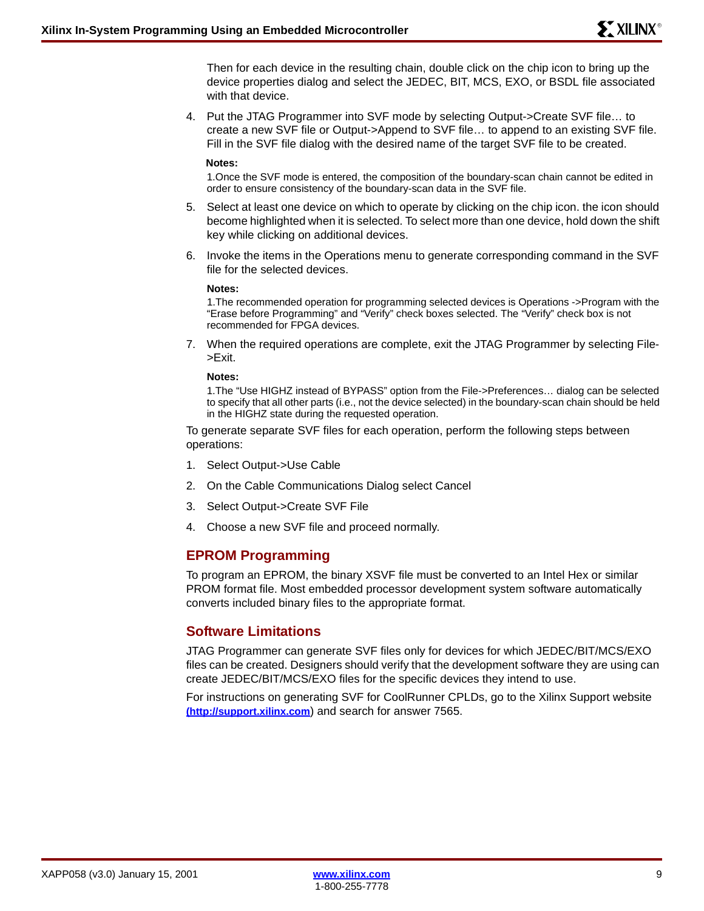Then for each device in the resulting chain, double click on the chip icon to bring up the device properties dialog and select the JEDEC, BIT, MCS, EXO, or BSDL file associated with that device.

4. Put the JTAG Programmer into SVF mode by selecting Output->Create SVF file… to create a new SVF file or Output->Append to SVF file… to append to an existing SVF file. Fill in the SVF file dialog with the desired name of the target SVF file to be created.

#### **Notes:**

1.Once the SVF mode is entered, the composition of the boundary-scan chain cannot be edited in order to ensure consistency of the boundary-scan data in the SVF file.

- 5. Select at least one device on which to operate by clicking on the chip icon. the icon should become highlighted when it is selected. To select more than one device, hold down the shift key while clicking on additional devices.
- 6. Invoke the items in the Operations menu to generate corresponding command in the SVF file for the selected devices.

#### **Notes:**

1.The recommended operation for programming selected devices is Operations ->Program with the "Erase before Programming" and "Verify" check boxes selected. The "Verify" check box is not recommended for FPGA devices.

7. When the required operations are complete, exit the JTAG Programmer by selecting File- >Exit.

#### **Notes:**

1.The "Use HIGHZ instead of BYPASS" option from the File->Preferences… dialog can be selected to specify that all other parts (i.e., not the device selected) in the boundary-scan chain should be held in the HIGHZ state during the requested operation.

To generate separate SVF files for each operation, perform the following steps between operations:

- 1. Select Output->Use Cable
- 2. On the Cable Communications Dialog select Cancel
- 3. Select Output->Create SVF File
- 4. Choose a new SVF file and proceed normally.

# **EPROM Programming**

To program an EPROM, the binary XSVF file must be converted to an Intel Hex or similar PROM format file. Most embedded processor development system software automatically converts included binary files to the appropriate format.

# **Software Limitations**

JTAG Programmer can generate SVF files only for devices for which JEDEC/BIT/MCS/EXO files can be created. Designers should verify that the development software they are using can create JEDEC/BIT/MCS/EXO files for the specific devices they intend to use.

For instructions on generating SVF for CoolRunner CPLDs, go to the Xilinx Support website **[\(http://support.xilinx.com](http://support.xilinx.com)**) and search for answer 7565.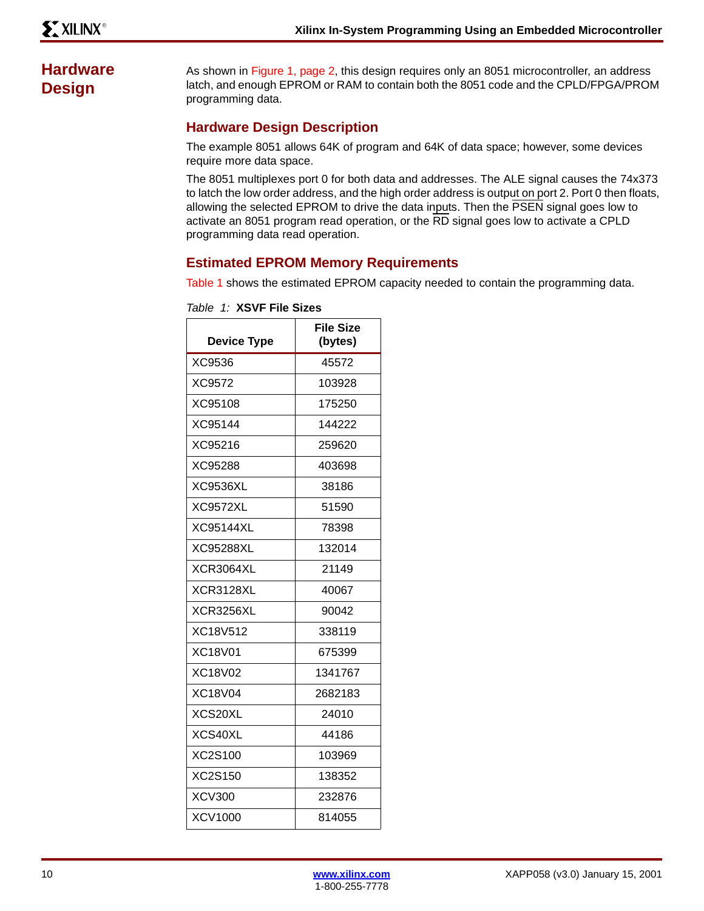# **Hardware Design**

As shown in [Figure 1, page 2](#page-1-0), this design requires only an 8051 microcontroller, an address latch, and enough EPROM or RAM to contain both the 8051 code and the CPLD/FPGA/PROM programming data.

# **Hardware Design Description**

The example 8051 allows 64K of program and 64K of data space; however, some devices require more data space.

The 8051 multiplexes port 0 for both data and addresses. The ALE signal causes the 74x373 to latch the low order address, and the high order address is output on port 2. Port 0 then floats, allowing the selected EPROM to drive the data inputs. Then the PSEN signal goes low to activate an 8051 program read operation, or the RD signal goes low to activate a CPLD programming data read operation.

# **Estimated EPROM Memory Requirements**

[Table 1](#page-9-0) shows the estimated EPROM capacity needed to contain the programming data.

| <b>Device Type</b> | <b>File Size</b><br>(bytes) |
|--------------------|-----------------------------|
| XC9536             | 45572                       |
| XC9572             | 103928                      |
| XC95108            | 175250                      |
| XC95144            | 144222                      |
| XC95216            | 259620                      |
| XC95288            | 403698                      |
| XC9536XL           | 38186                       |
| <b>XC9572XL</b>    | 51590                       |
| <b>XC95144XL</b>   | 78398                       |
| XC95288XL          | 132014                      |
| XCR3064XL          | 21149                       |
| XCR3128XL          | 40067                       |
| <b>XCR3256XL</b>   | 90042                       |
| XC18V512           | 338119                      |
| XC18V01            | 675399                      |
| XC18V02            | 1341767                     |
| <b>XC18V04</b>     | 2682183                     |
| XCS20XL            | 24010                       |
| XCS40XL            | 44186                       |
| XC2S100            | 103969                      |
| XC2S150            | 138352                      |
| <b>XCV300</b>      | 232876                      |
| <b>XCV1000</b>     | 814055                      |

<span id="page-9-0"></span>*Table 1:* **XSVF File Sizes**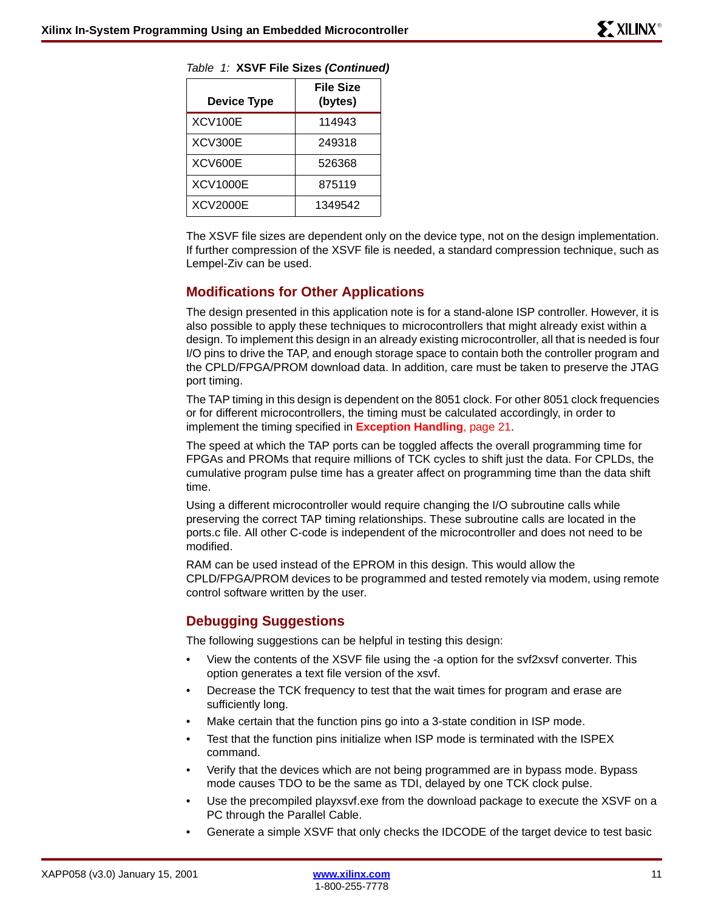| ,,,,,,<br>$\sim$ Age inconscention to $\sim$ |                             |  |
|----------------------------------------------|-----------------------------|--|
| <b>Device Type</b>                           | <b>File Size</b><br>(bytes) |  |
| <b>XCV100E</b>                               | 114943                      |  |
| XCV300E                                      | 249318                      |  |
| XCV600E                                      | 526368                      |  |
| <b>XCV1000E</b>                              | 875119                      |  |
| <b>XCV2000E</b>                              | 1349542                     |  |

*Table 1:* **XSVF File Sizes** *(Continued)*

The XSVF file sizes are dependent only on the device type, not on the design implementation. If further compression of the XSVF file is needed, a standard compression technique, such as Lempel-Ziv can be used.

# **Modifications for Other Applications**

The design presented in this application note is for a stand-alone ISP controller. However, it is also possible to apply these techniques to microcontrollers that might already exist within a design. To implement this design in an already existing microcontroller, all that is needed is four I/O pins to drive the TAP, and enough storage space to contain both the controller program and the CPLD/FPGA/PROM download data. In addition, care must be taken to preserve the JTAG port timing.

The TAP timing in this design is dependent on the 8051 clock. For other 8051 clock frequencies or for different microcontrollers, the timing must be calculated accordingly, in order to implement the timing specified in **[Exception Handling](#page-20-0)**, page 21.

The speed at which the TAP ports can be toggled affects the overall programming time for FPGAs and PROMs that require millions of TCK cycles to shift just the data. For CPLDs, the cumulative program pulse time has a greater affect on programming time than the data shift time.

Using a different microcontroller would require changing the I/O subroutine calls while preserving the correct TAP timing relationships. These subroutine calls are located in the ports.c file. All other C-code is independent of the microcontroller and does not need to be modified.

RAM can be used instead of the EPROM in this design. This would allow the CPLD/FPGA/PROM devices to be programmed and tested remotely via modem, using remote control software written by the user.

# **Debugging Suggestions**

The following suggestions can be helpful in testing this design:

- View the contents of the XSVF file using the -a option for the svf2xsvf converter. This option generates a text file version of the xsvf.
- Decrease the TCK frequency to test that the wait times for program and erase are sufficiently long.
- Make certain that the function pins go into a 3-state condition in ISP mode.
- Test that the function pins initialize when ISP mode is terminated with the ISPEX command.
- Verify that the devices which are not being programmed are in bypass mode. Bypass mode causes TDO to be the same as TDI, delayed by one TCK clock pulse.
- Use the precompiled playxsvf.exe from the download package to execute the XSVF on a PC through the Parallel Cable.
- Generate a simple XSVF that only checks the IDCODE of the target device to test basic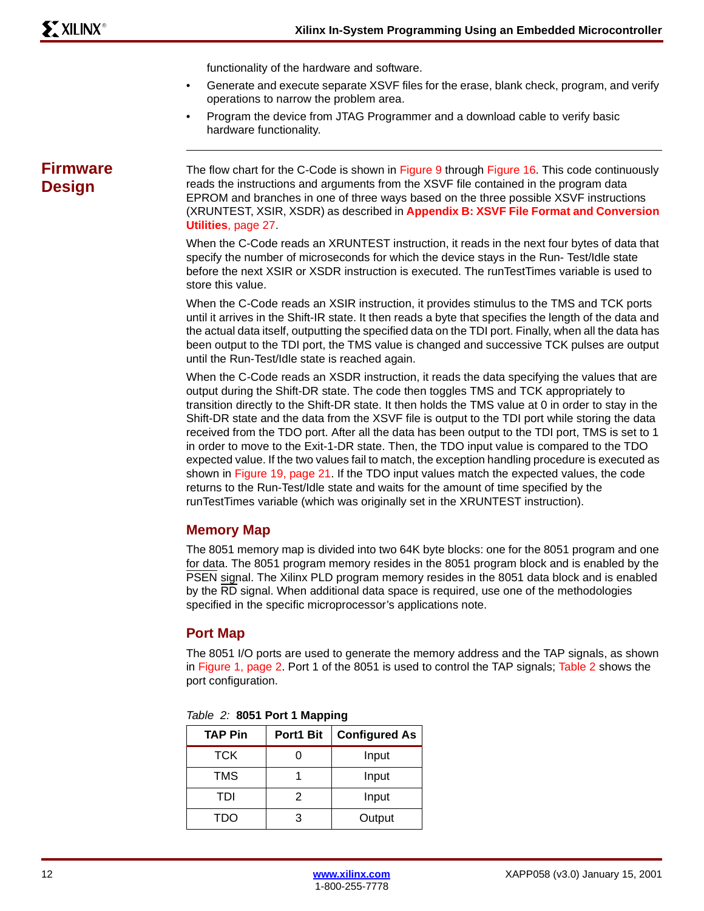functionality of the hardware and software.

- Generate and execute separate XSVF files for the erase, blank check, program, and verify operations to narrow the problem area.
- Program the device from JTAG Programmer and a download cable to verify basic hardware functionality.

# **Firmware Design**

The flow chart for the C-Code is shown in [Figure 9](#page-12-0) through [Figure 16](#page-18-1). This code continuously reads the instructions and arguments from the XSVF file contained in the program data EPROM and branches in one of three ways based on the three possible XSVF instructions (XRUNTEST, XSIR, XSDR) as described in **[Appendix B: XSVF File Format and Conversion](#page-26-0)  Utilities**[, page 27.](#page-26-0)

When the C-Code reads an XRUNTEST instruction, it reads in the next four bytes of data that specify the number of microseconds for which the device stays in the Run- Test/Idle state before the next XSIR or XSDR instruction is executed. The runTestTimes variable is used to store this value.

When the C-Code reads an XSIR instruction, it provides stimulus to the TMS and TCK ports until it arrives in the Shift-IR state. It then reads a byte that specifies the length of the data and the actual data itself, outputting the specified data on the TDI port. Finally, when all the data has been output to the TDI port, the TMS value is changed and successive TCK pulses are output until the Run-Test/Idle state is reached again.

When the C-Code reads an XSDR instruction, it reads the data specifying the values that are output during the Shift-DR state. The code then toggles TMS and TCK appropriately to transition directly to the Shift-DR state. It then holds the TMS value at 0 in order to stay in the Shift-DR state and the data from the XSVF file is output to the TDI port while storing the data received from the TDO port. After all the data has been output to the TDI port, TMS is set to 1 in order to move to the Exit-1-DR state. Then, the TDO input value is compared to the TDO expected value. If the two values fail to match, the exception handling procedure is executed as shown in [Figure 19, page 21.](#page-20-1) If the TDO input values match the expected values, the code returns to the Run-Test/Idle state and waits for the amount of time specified by the runTestTimes variable (which was originally set in the XRUNTEST instruction).

# **Memory Map**

The 8051 memory map is divided into two 64K byte blocks: one for the 8051 program and one for data. The 8051 program memory resides in the 8051 program block and is enabled by the PSEN signal. The Xilinx PLD program memory resides in the 8051 data block and is enabled by the RD signal. When additional data space is required, use one of the methodologies specified in the specific microprocessor's applications note.

# **Port Map**

The 8051 I/O ports are used to generate the memory address and the TAP signals, as shown in [Figure 1, page 2](#page-1-0). Port 1 of the 8051 is used to control the TAP signals; [Table 2](#page-11-0) shows the port configuration.

| $10000 - 20000 + 00000 + 000000 + 00000$ |           |                      |  |  |
|------------------------------------------|-----------|----------------------|--|--|
| <b>TAP Pin</b>                           | Port1 Bit | <b>Configured As</b> |  |  |
| <b>TCK</b>                               |           | Input                |  |  |
| TMS                                      |           | Input                |  |  |
| TDI                                      | 2         | Input                |  |  |
| <b>TDO</b>                               | 3         | Output               |  |  |

<span id="page-11-0"></span>

|  |  | Table 2: 8051 Port 1 Mapping |
|--|--|------------------------------|
|  |  |                              |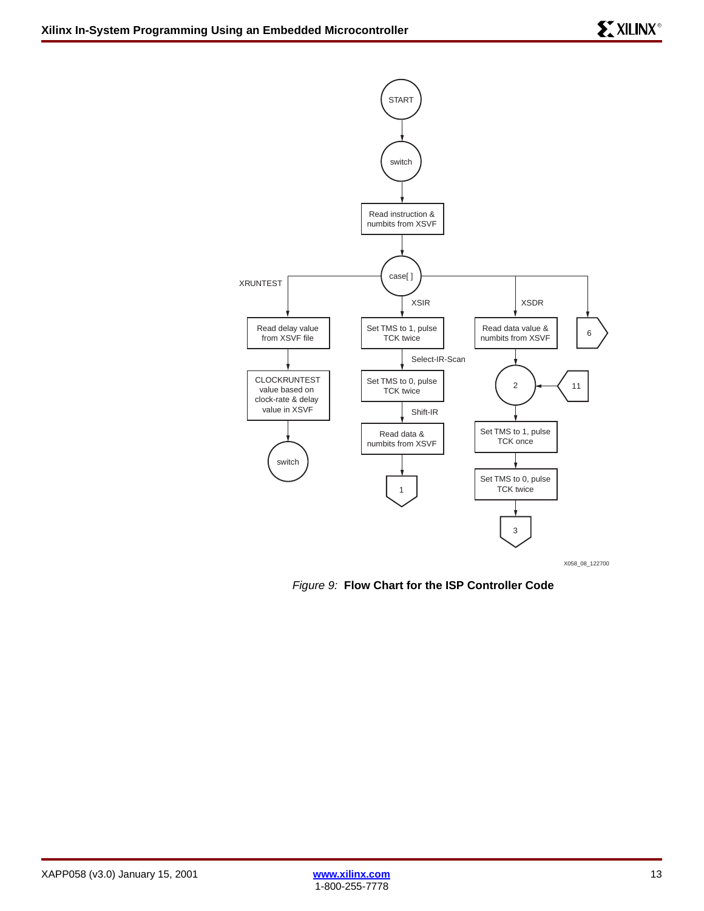

X058\_08\_122700

<span id="page-12-0"></span>*Figure 9:* **Flow Chart for the ISP Controller Code**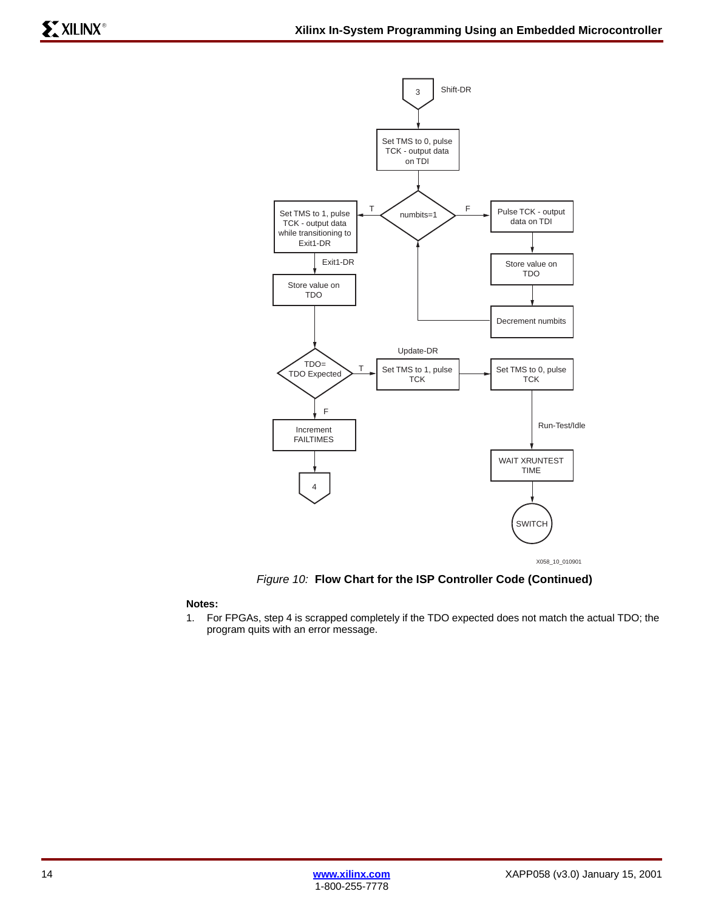

*Figure 10:* **Flow Chart for the ISP Controller Code (Continued)**

## **Notes:**

1. For FPGAs, step 4 is scrapped completely if the TDO expected does not match the actual TDO; the program quits with an error message.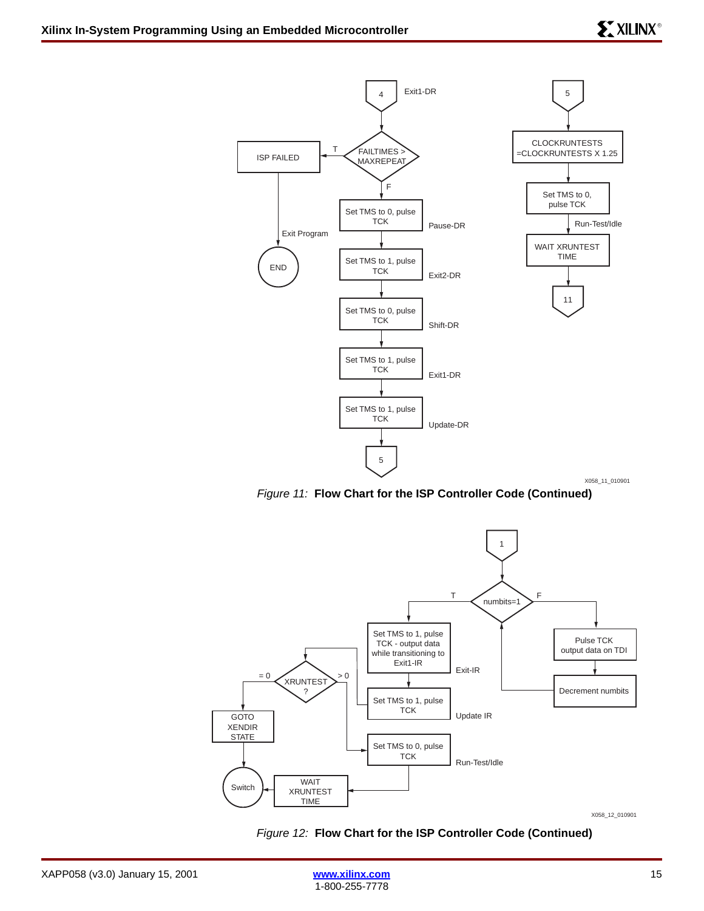

*Figure 11:* **Flow Chart for the ISP Controller Code (Continued)**



X058\_12\_010901

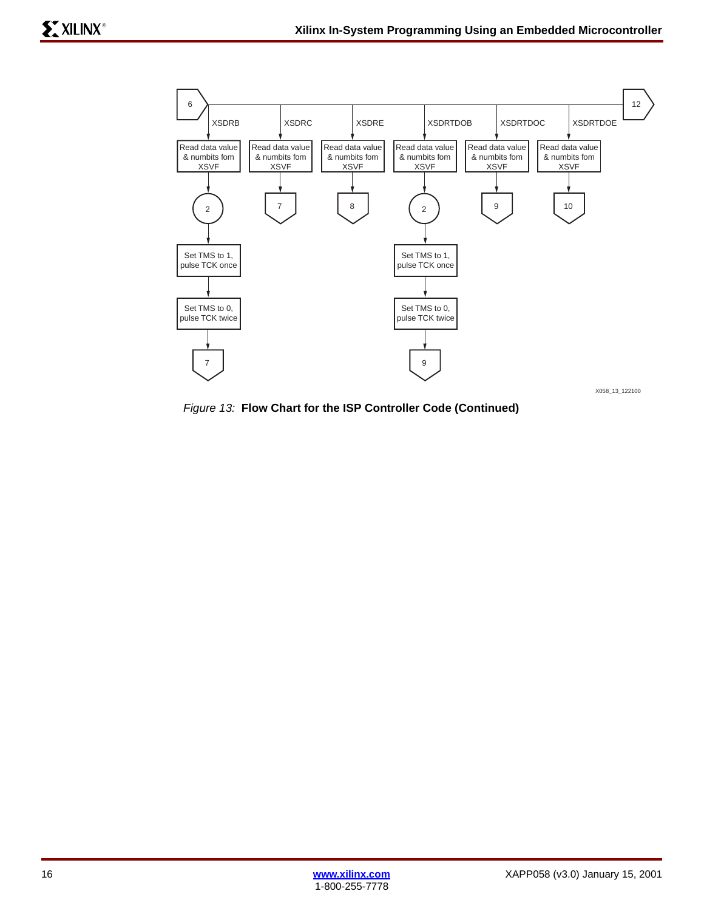

*Figure 13:* **Flow Chart for the ISP Controller Code (Continued)**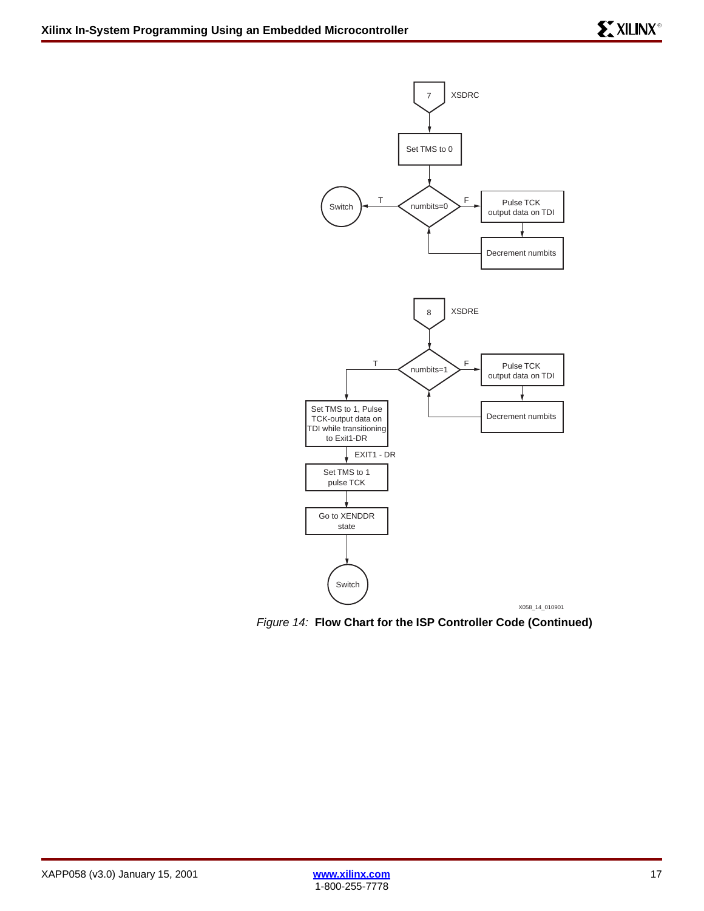

*Figure 14:* **Flow Chart for the ISP Controller Code (Continued)**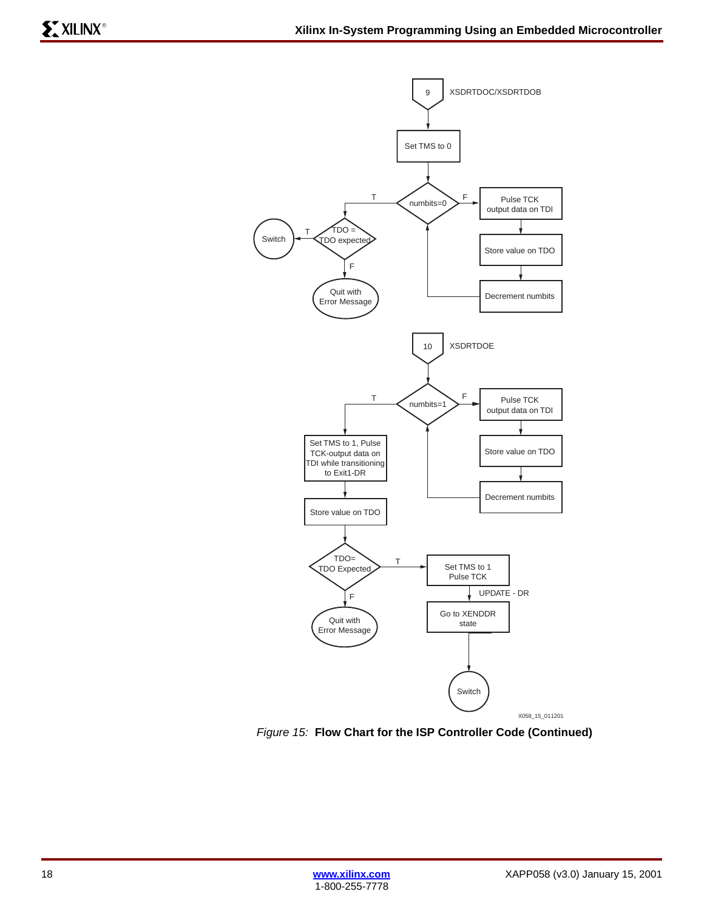

*Figure 15:* **Flow Chart for the ISP Controller Code (Continued)**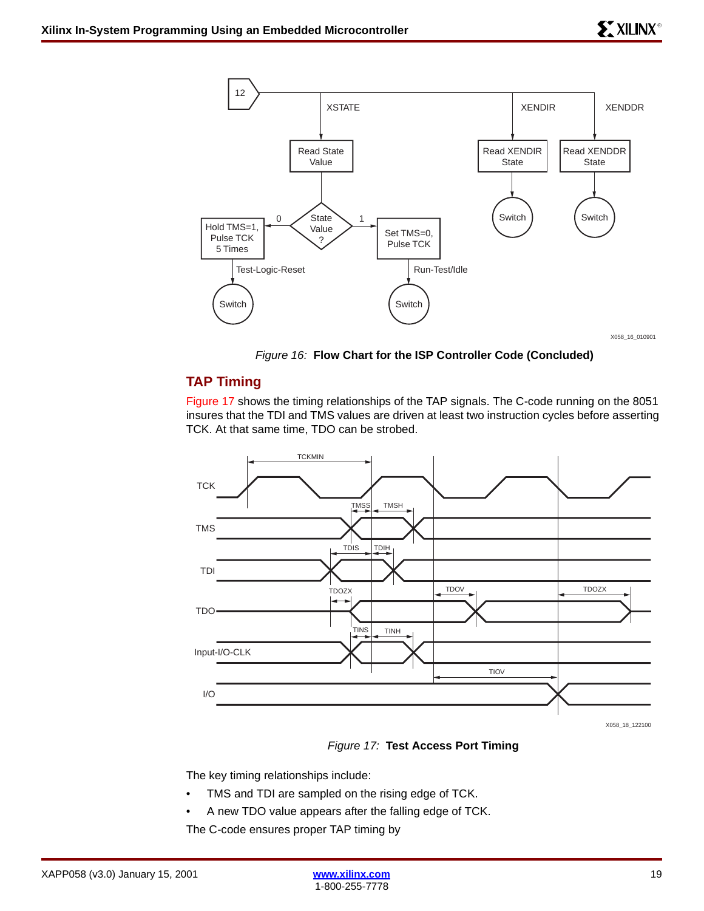

X058\_16\_010901

*Figure 16:* **Flow Chart for the ISP Controller Code (Concluded)**

# <span id="page-18-1"></span>**TAP Timing**

[Figure 17](#page-18-0) shows the timing relationships of the TAP signals. The C-code running on the 8051 insures that the TDI and TMS values are driven at least two instruction cycles before asserting TCK. At that same time, TDO can be strobed.



*Figure 17:* **Test Access Port Timing**

<span id="page-18-0"></span>The key timing relationships include:

- TMS and TDI are sampled on the rising edge of TCK.
- A new TDO value appears after the falling edge of TCK.

The C-code ensures proper TAP timing by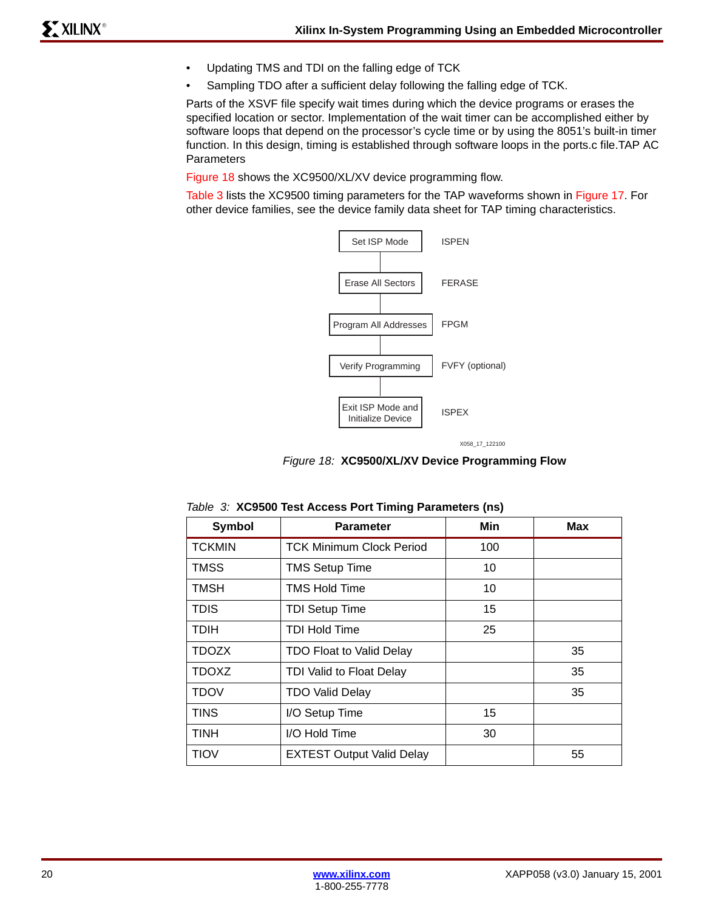- Updating TMS and TDI on the falling edge of TCK
- Sampling TDO after a sufficient delay following the falling edge of TCK.

Parts of the XSVF file specify wait times during which the device programs or erases the specified location or sector. Implementation of the wait timer can be accomplished either by software loops that depend on the processor's cycle time or by using the 8051's built-in timer function. In this design, timing is established through software loops in the ports.c file.TAP AC Parameters

[Figure 18](#page-19-0) shows the XC9500/XL/XV device programming flow.

[Table 3](#page-19-1) lists the XC9500 timing parameters for the TAP waveforms shown in [Figure 17](#page-18-0). For other device families, see the device family data sheet for TAP timing characteristics.



X058\_17\_122100

*Figure 18:* **XC9500/XL/XV Device Programming Flow**

| Symbol        | <b>Parameter</b>                 | Min | Max |
|---------------|----------------------------------|-----|-----|
| <b>TCKMIN</b> | <b>TCK Minimum Clock Period</b>  | 100 |     |
| <b>TMSS</b>   | <b>TMS Setup Time</b>            | 10  |     |
| <b>TMSH</b>   | <b>TMS Hold Time</b>             | 10  |     |
| <b>TDIS</b>   | <b>TDI Setup Time</b>            | 15  |     |
| <b>TDIH</b>   | <b>TDI Hold Time</b>             | 25  |     |
| <b>TDOZX</b>  | <b>TDO Float to Valid Delay</b>  |     | 35  |
| <b>TDOXZ</b>  | TDI Valid to Float Delay         |     | 35  |
| <b>TDOV</b>   | <b>TDO Valid Delay</b>           |     | 35  |
| <b>TINS</b>   | I/O Setup Time                   | 15  |     |
| <b>TINH</b>   | I/O Hold Time                    | 30  |     |
| <b>TIOV</b>   | <b>EXTEST Output Valid Delay</b> |     | 55  |

<span id="page-19-1"></span><span id="page-19-0"></span>*Table 3:* **XC9500 Test Access Port Timing Parameters (ns)**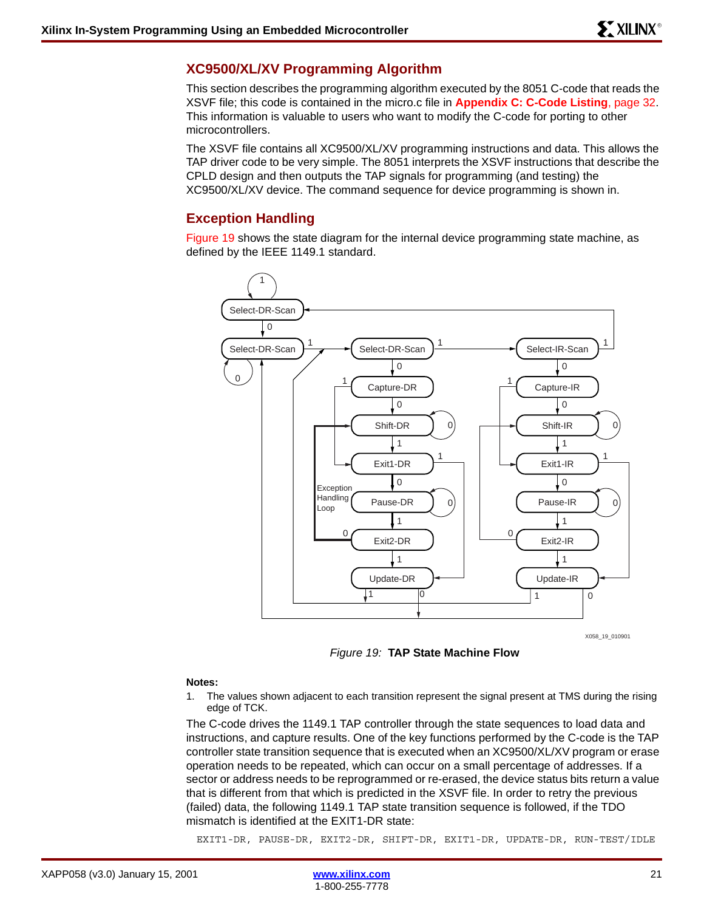# **XC9500/XL/XV Programming Algorithm**

This section describes the programming algorithm executed by the 8051 C-code that reads the XSVF file; this code is contained in the micro.c file in **[Appendix C: C-Code Listing](#page-31-0)**, page 32. This information is valuable to users who want to modify the C-code for porting to other microcontrollers.

The XSVF file contains all XC9500/XL/XV programming instructions and data. This allows the TAP driver code to be very simple. The 8051 interprets the XSVF instructions that describe the CPLD design and then outputs the TAP signals for programming (and testing) the XC9500/XL/XV device. The command sequence for device programming is shown in.

# <span id="page-20-0"></span>**Exception Handling**

[Figure 19](#page-20-1) shows the state diagram for the internal device programming state machine, as defined by the IEEE 1149.1 standard.



X058\_19\_010901

*Figure 19:* **TAP State Machine Flow**

#### <span id="page-20-1"></span>**Notes:**

1. The values shown adjacent to each transition represent the signal present at TMS during the rising edge of TCK.

The C-code drives the 1149.1 TAP controller through the state sequences to load data and instructions, and capture results. One of the key functions performed by the C-code is the TAP controller state transition sequence that is executed when an XC9500/XL/XV program or erase operation needs to be repeated, which can occur on a small percentage of addresses. If a sector or address needs to be reprogrammed or re-erased, the device status bits return a value that is different from that which is predicted in the XSVF file. In order to retry the previous (failed) data, the following 1149.1 TAP state transition sequence is followed, if the TDO mismatch is identified at the EXIT1-DR state:

EXIT1-DR, PAUSE-DR, EXIT2-DR, SHIFT-DR, EXIT1-DR, UPDATE-DR, RUN-TEST/IDLE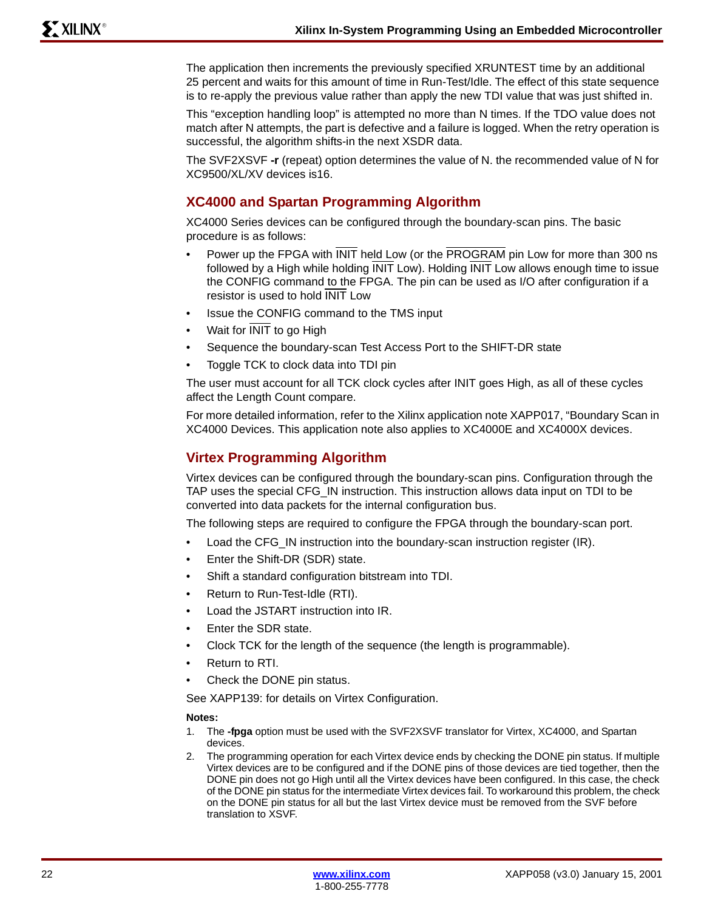The application then increments the previously specified XRUNTEST time by an additional 25 percent and waits for this amount of time in Run-Test/Idle. The effect of this state sequence is to re-apply the previous value rather than apply the new TDI value that was just shifted in.

This "exception handling loop" is attempted no more than N times. If the TDO value does not match after N attempts, the part is defective and a failure is logged. When the retry operation is successful, the algorithm shifts-in the next XSDR data.

The SVF2XSVF **-r** (repeat) option determines the value of N. the recommended value of N for XC9500/XL/XV devices is16.

# **XC4000 and Spartan Programming Algorithm**

XC4000 Series devices can be configured through the boundary-scan pins. The basic procedure is as follows:

- Power up the FPGA with INIT held Low (or the PROGRAM pin Low for more than 300 ns followed by a High while holding INIT Low). Holding INIT Low allows enough time to issue the CONFIG command to the FPGA. The pin can be used as I/O after configuration if a resistor is used to hold INIT Low
- Issue the CONFIG command to the TMS input
- Wait for **INIT** to go High
- Sequence the boundary-scan Test Access Port to the SHIFT-DR state
- Toggle TCK to clock data into TDI pin

The user must account for all TCK clock cycles after INIT goes High, as all of these cycles affect the Length Count compare.

For more detailed information, refer to the Xilinx application note XAPP017, "Boundary Scan in XC4000 Devices. This application note also applies to XC4000E and XC4000X devices.

# **Virtex Programming Algorithm**

Virtex devices can be configured through the boundary-scan pins. Configuration through the TAP uses the special CFG\_IN instruction. This instruction allows data input on TDI to be converted into data packets for the internal configuration bus.

The following steps are required to configure the FPGA through the boundary-scan port.

- Load the CFG IN instruction into the boundary-scan instruction register (IR).
- Enter the Shift-DR (SDR) state.
- Shift a standard configuration bitstream into TDI.
- Return to Run-Test-Idle (RTI).
- Load the JSTART instruction into IR.
- Enter the SDR state.
- Clock TCK for the length of the sequence (the length is programmable).
- Return to RTI.
- Check the DONE pin status.

See XAPP139: for details on Virtex Configuration.

## **Notes:**

- 1. The **-fpga** option must be used with the SVF2XSVF translator for Virtex, XC4000, and Spartan devices.
- 2. The programming operation for each Virtex device ends by checking the DONE pin status. If multiple Virtex devices are to be configured and if the DONE pins of those devices are tied together, then the DONE pin does not go High until all the Virtex devices have been configured. In this case, the check of the DONE pin status for the intermediate Virtex devices fail. To workaround this problem, the check on the DONE pin status for all but the last Virtex device must be removed from the SVF before translation to XSVF.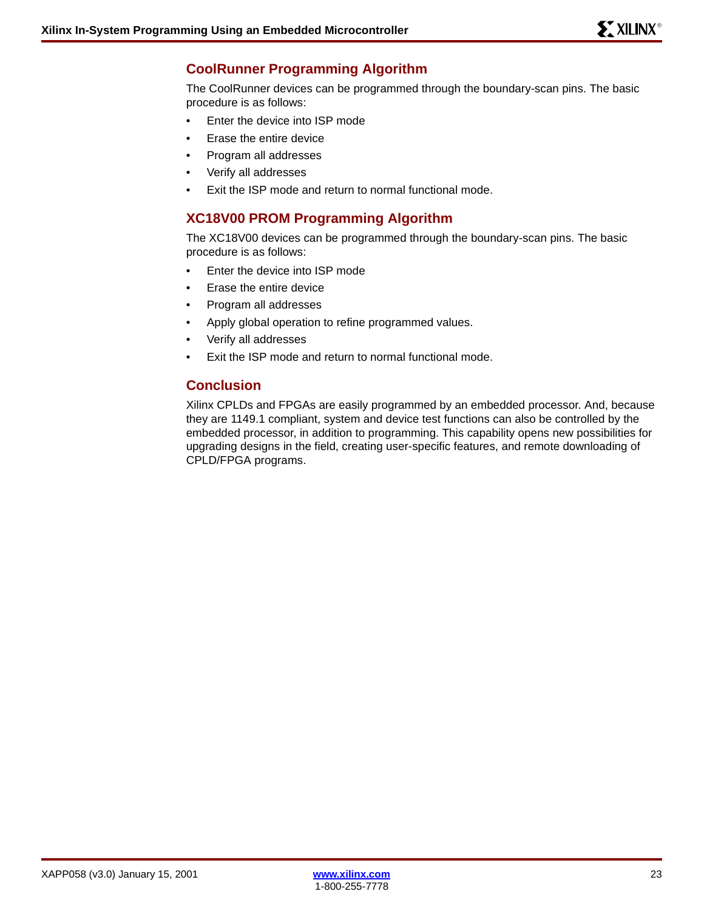# **CoolRunner Programming Algorithm**

The CoolRunner devices can be programmed through the boundary-scan pins. The basic procedure is as follows:

- Enter the device into ISP mode
- Erase the entire device
- Program all addresses
- Verify all addresses
- Exit the ISP mode and return to normal functional mode.

# **XC18V00 PROM Programming Algorithm**

The XC18V00 devices can be programmed through the boundary-scan pins. The basic procedure is as follows:

- Enter the device into ISP mode
- Erase the entire device
- Program all addresses
- Apply global operation to refine programmed values.
- Verify all addresses
- Exit the ISP mode and return to normal functional mode.

# **Conclusion**

Xilinx CPLDs and FPGAs are easily programmed by an embedded processor. And, because they are 1149.1 compliant, system and device test functions can also be controlled by the embedded processor, in addition to programming. This capability opens new possibilities for upgrading designs in the field, creating user-specific features, and remote downloading of CPLD/FPGA programs.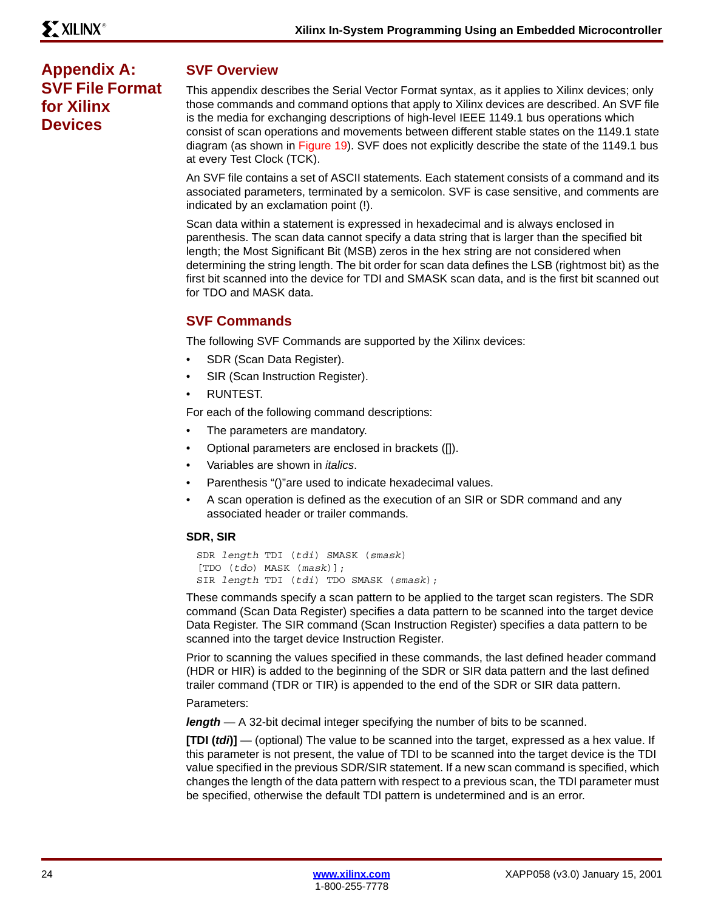# <span id="page-23-0"></span>**Appendix A: SVF File Format for Xilinx Devices**

# **SVF Overview**

This appendix describes the Serial Vector Format syntax, as it applies to Xilinx devices; only those commands and command options that apply to Xilinx devices are described. An SVF file is the media for exchanging descriptions of high-level IEEE 1149.1 bus operations which consist of scan operations and movements between different stable states on the 1149.1 state diagram (as shown in [Figure 19\)](#page-20-1). SVF does not explicitly describe the state of the 1149.1 bus at every Test Clock (TCK).

An SVF file contains a set of ASCII statements. Each statement consists of a command and its associated parameters, terminated by a semicolon. SVF is case sensitive, and comments are indicated by an exclamation point (!).

Scan data within a statement is expressed in hexadecimal and is always enclosed in parenthesis. The scan data cannot specify a data string that is larger than the specified bit length; the Most Significant Bit (MSB) zeros in the hex string are not considered when determining the string length. The bit order for scan data defines the LSB (rightmost bit) as the first bit scanned into the device for TDI and SMASK scan data, and is the first bit scanned out for TDO and MASK data.

# **SVF Commands**

The following SVF Commands are supported by the Xilinx devices:

- SDR (Scan Data Register).
- SIR (Scan Instruction Register).
- RUNTEST.

For each of the following command descriptions:

- The parameters are mandatory.
- Optional parameters are enclosed in brackets ([]).
- Variables are shown in *italics*.
- Parenthesis "()"are used to indicate hexadecimal values.
- A scan operation is defined as the execution of an SIR or SDR command and any associated header or trailer commands.

## **SDR, SIR**

```
SDR length TDI (tdi) SMASK (smask) 
[TDO (tdo) MASK (mask)];
SIR length TDI (tdi) TDO SMASK (smask);
```
These commands specify a scan pattern to be applied to the target scan registers. The SDR command (Scan Data Register) specifies a data pattern to be scanned into the target device Data Register. The SIR command (Scan Instruction Register) specifies a data pattern to be scanned into the target device Instruction Register.

Prior to scanning the values specified in these commands, the last defined header command (HDR or HIR) is added to the beginning of the SDR or SIR data pattern and the last defined trailer command (TDR or TIR) is appended to the end of the SDR or SIR data pattern.

Parameters:

*length* — A 32-bit decimal integer specifying the number of bits to be scanned.

**[TDI (***tdi***)]** — (optional) The value to be scanned into the target, expressed as a hex value. If this parameter is not present, the value of TDI to be scanned into the target device is the TDI value specified in the previous SDR/SIR statement. If a new scan command is specified, which changes the length of the data pattern with respect to a previous scan, the TDI parameter must be specified, otherwise the default TDI pattern is undetermined and is an error.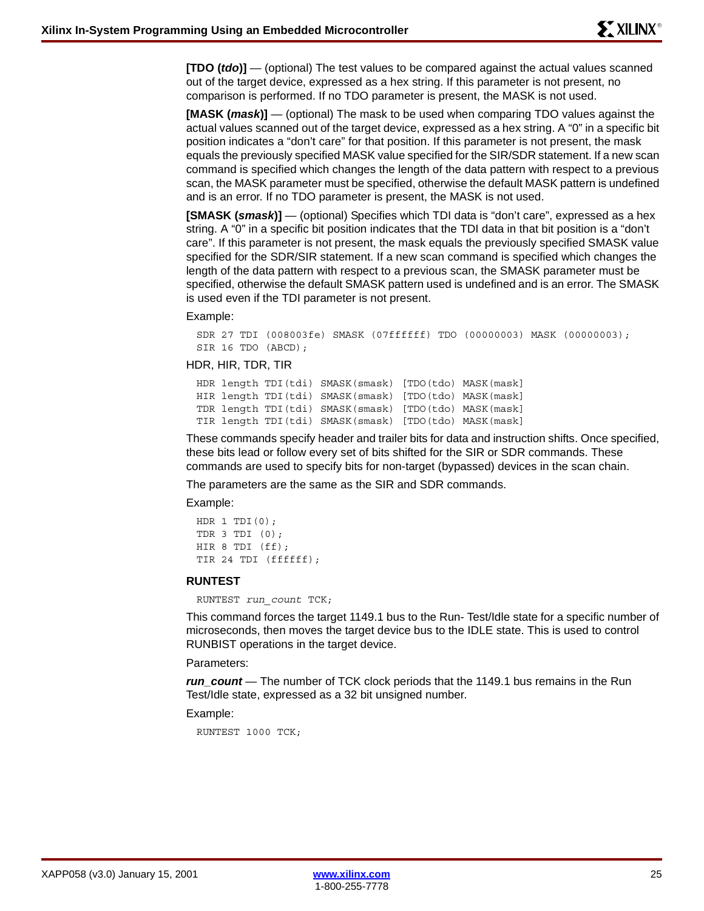**[TDO (***tdo***)]** — (optional) The test values to be compared against the actual values scanned out of the target device, expressed as a hex string. If this parameter is not present, no comparison is performed. If no TDO parameter is present, the MASK is not used.

**[MASK (***mask***)]** — (optional) The mask to be used when comparing TDO values against the actual values scanned out of the target device, expressed as a hex string. A "0" in a specific bit position indicates a "don't care" for that position. If this parameter is not present, the mask equals the previously specified MASK value specified for the SIR/SDR statement. If a new scan command is specified which changes the length of the data pattern with respect to a previous scan, the MASK parameter must be specified, otherwise the default MASK pattern is undefined and is an error. If no TDO parameter is present, the MASK is not used.

**[SMASK (***smask***)]** — (optional) Specifies which TDI data is "don't care", expressed as a hex string. A "0" in a specific bit position indicates that the TDI data in that bit position is a "don't care". If this parameter is not present, the mask equals the previously specified SMASK value specified for the SDR/SIR statement. If a new scan command is specified which changes the length of the data pattern with respect to a previous scan, the SMASK parameter must be specified, otherwise the default SMASK pattern used is undefined and is an error. The SMASK is used even if the TDI parameter is not present.

Example:

```
SDR 27 TDI (008003fe) SMASK (07ffffff) TDO (00000003) MASK (00000003);
SIR 16 TDO (ABCD);
```
HDR, HIR, TDR, TIR

```
HDR length TDI(tdi) SMASK(smask) [TDO(tdo) MASK(mask]
HIR length TDI(tdi) SMASK(smask) [TDO(tdo) MASK(mask]
TDR length TDI(tdi) SMASK(smask) [TDO(tdo) MASK(mask]
TIR length TDI(tdi) SMASK(smask) [TDO(tdo) MASK(mask]
```
These commands specify header and trailer bits for data and instruction shifts. Once specified, these bits lead or follow every set of bits shifted for the SIR or SDR commands. These commands are used to specify bits for non-target (bypassed) devices in the scan chain.

The parameters are the same as the SIR and SDR commands.

Example:

```
HDR 1 TDI(0);TDR 3 TDI (0);
HIR 8 TDI (ff);
TIR 24 TDI (ffffff);
```
#### **RUNTEST**

RUNTEST *run\_count* TCK;

This command forces the target 1149.1 bus to the Run- Test/Idle state for a specific number of microseconds, then moves the target device bus to the IDLE state. This is used to control RUNBIST operations in the target device.

#### Parameters:

*run\_count* — The number of TCK clock periods that the 1149.1 bus remains in the Run Test/Idle state, expressed as a 32 bit unsigned number.

Example:

RUNTEST 1000 TCK;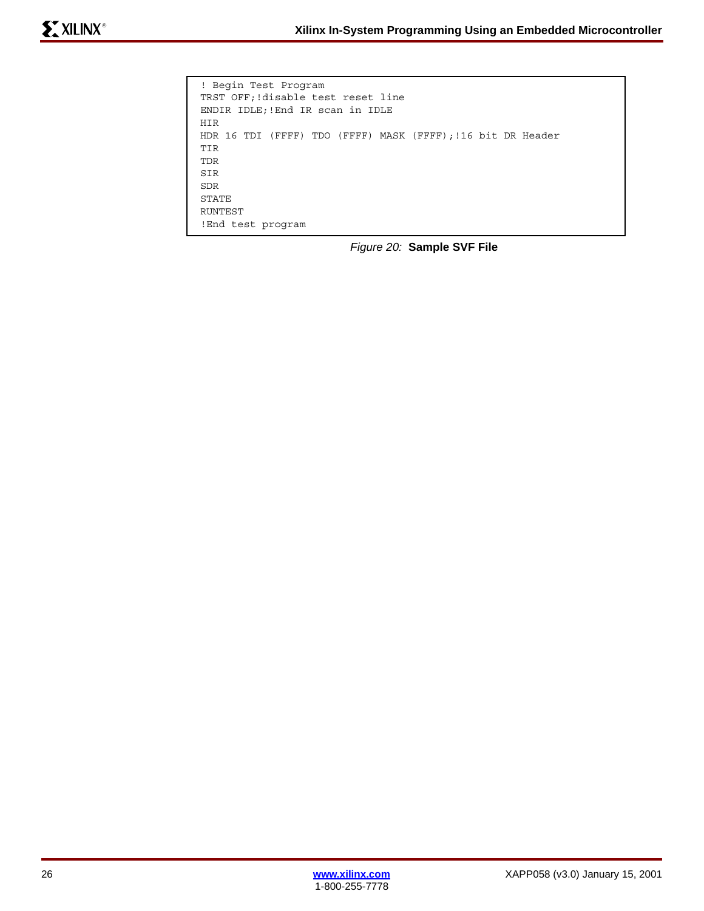```
! Begin Test Program
TRST OFF;!disable test reset line
ENDIR IDLE;!End IR scan in IDLE
HIR
HDR 16 TDI (FFFF) TDO (FFFF) MASK (FFFF);!16 bit DR Header
TIR
TDR
SIR
SDR
STATE
RUNTEST
!End test program
```
*Figure 20:* **Sample SVF File**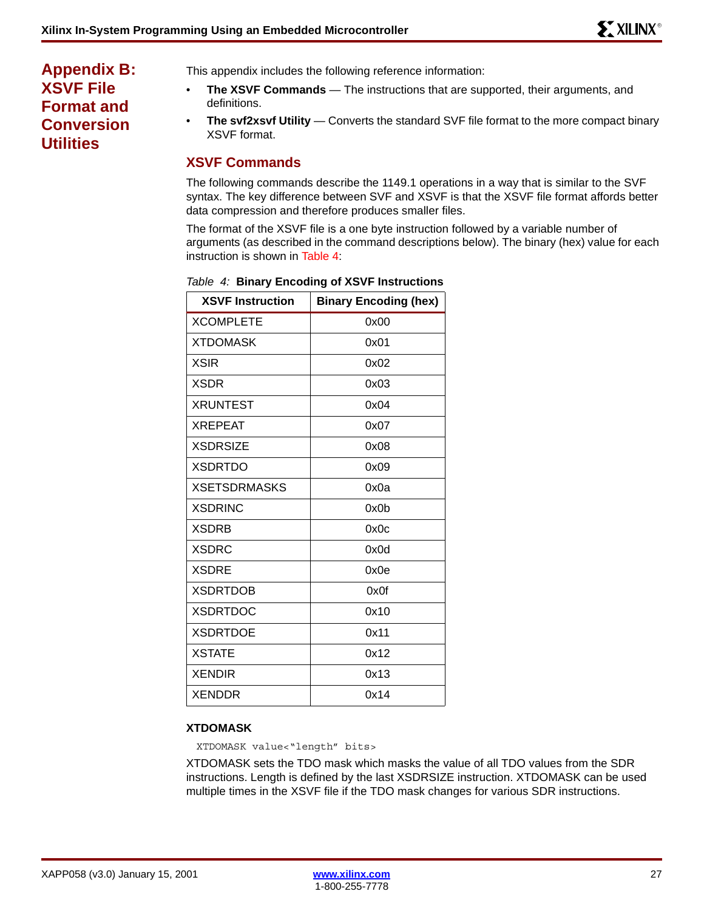# <span id="page-26-0"></span>**Appendix B: XSVF File Format and Conversion Utilities**

This appendix includes the following reference information:

- **The XSVF Commands** The instructions that are supported, their arguments, and definitions.
- **The svf2xsvf Utility** Converts the standard SVF file format to the more compact binary XSVF format.

# **XSVF Commands**

The following commands describe the 1149.1 operations in a way that is similar to the SVF syntax. The key difference between SVF and XSVF is that the XSVF file format affords better data compression and therefore produces smaller files.

The format of the XSVF file is a one byte instruction followed by a variable number of arguments (as described in the command descriptions below). The binary (hex) value for each instruction is shown in [Table 4:](#page-26-1)

| <b>XSVF Instruction</b> | <b>Binary Encoding (hex)</b> |
|-------------------------|------------------------------|
| <b>XCOMPLETE</b>        | 0x00                         |
| <b>XTDOMASK</b>         | 0x01                         |
| <b>XSIR</b>             | 0x02                         |
| XSDR                    | 0x03                         |
| <b>XRUNTEST</b>         | 0x04                         |
| <b>XREPEAT</b>          | 0x07                         |
| <b>XSDRSIZE</b>         | 0x08                         |
| <b>XSDRTDO</b>          | 0x09                         |
| <b>XSETSDRMASKS</b>     | 0x0a                         |
| <b>XSDRINC</b>          | 0x0b                         |
| <b>XSDRB</b>            | 0x0c                         |
| <b>XSDRC</b>            | 0x0d                         |
| <b>XSDRE</b>            | 0x0e                         |
| <b>XSDRTDOB</b>         | 0x0f                         |
| <b>XSDRTDOC</b>         | 0x10                         |
| <b>XSDRTDOE</b>         | 0x11                         |
| <b>XSTATE</b>           | 0x12                         |
| <b>XENDIR</b>           | 0x13                         |
| <b>XENDDR</b>           | 0x14                         |

# <span id="page-26-1"></span>*Table 4:* **Binary Encoding of XSVF Instructions**

# **XTDOMASK**

XTDOMASK value<"length" bits>

XTDOMASK sets the TDO mask which masks the value of all TDO values from the SDR instructions. Length is defined by the last XSDRSIZE instruction. XTDOMASK can be used multiple times in the XSVF file if the TDO mask changes for various SDR instructions.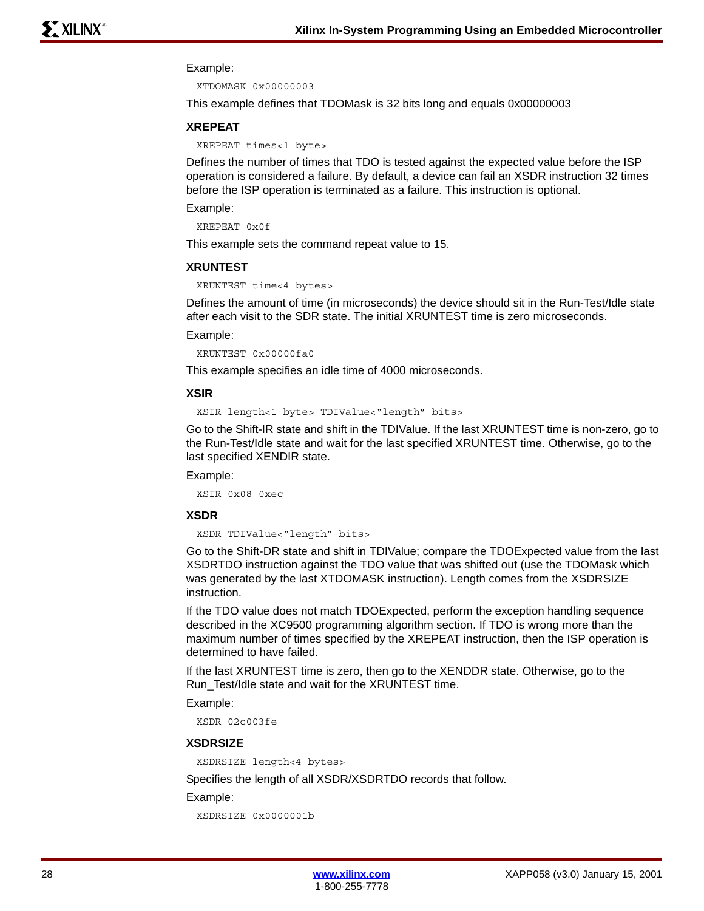#### Example:

XTDOMASK 0x00000003

This example defines that TDOMask is 32 bits long and equals 0x00000003

#### **XREPEAT**

XREPEAT times<1 byte>

Defines the number of times that TDO is tested against the expected value before the ISP operation is considered a failure. By default, a device can fail an XSDR instruction 32 times before the ISP operation is terminated as a failure. This instruction is optional.

### Example:

```
XREPEAT 0x0f
```
This example sets the command repeat value to 15.

#### **XRUNTEST**

```
XRUNTEST time<4 bytes>
```
Defines the amount of time (in microseconds) the device should sit in the Run-Test/Idle state after each visit to the SDR state. The initial XRUNTEST time is zero microseconds.

#### Example:

XRUNTEST 0x00000fa0

This example specifies an idle time of 4000 microseconds.

## **XSIR**

XSIR length<1 byte> TDIValue<"length" bits>

Go to the Shift-IR state and shift in the TDIValue. If the last XRUNTEST time is non-zero, go to the Run-Test/Idle state and wait for the last specified XRUNTEST time. Otherwise, go to the last specified XENDIR state.

Example:

XSIR 0x08 0xec

## **XSDR**

XSDR TDIValue<"length" bits>

Go to the Shift-DR state and shift in TDIValue; compare the TDOExpected value from the last XSDRTDO instruction against the TDO value that was shifted out (use the TDOMask which was generated by the last XTDOMASK instruction). Length comes from the XSDRSIZE instruction.

If the TDO value does not match TDOExpected, perform the exception handling sequence described in the XC9500 programming algorithm section. If TDO is wrong more than the maximum number of times specified by the XREPEAT instruction, then the ISP operation is determined to have failed.

If the last XRUNTEST time is zero, then go to the XENDDR state. Otherwise, go to the Run\_Test/Idle state and wait for the XRUNTEST time.

Example:

XSDR 02c003fe

#### **XSDRSIZE**

XSDRSIZE length<4 bytes>

Specifies the length of all XSDR/XSDRTDO records that follow.

#### Example:

```
XSDRSIZE 0x0000001b
```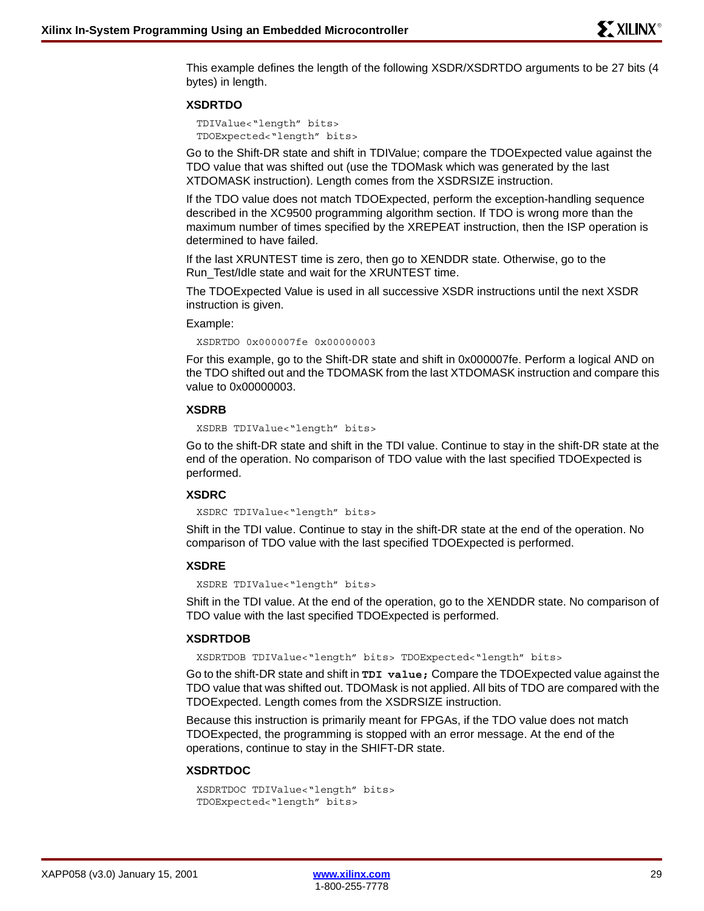This example defines the length of the following XSDR/XSDRTDO arguments to be 27 bits (4 bytes) in length.

#### **XSDRTDO**

TDIValue<"length" bits> TDOExpected<"length" bits>

Go to the Shift-DR state and shift in TDIValue; compare the TDOExpected value against the TDO value that was shifted out (use the TDOMask which was generated by the last XTDOMASK instruction). Length comes from the XSDRSIZE instruction.

If the TDO value does not match TDOExpected, perform the exception-handling sequence described in the XC9500 programming algorithm section. If TDO is wrong more than the maximum number of times specified by the XREPEAT instruction, then the ISP operation is determined to have failed.

If the last XRUNTEST time is zero, then go to XENDDR state. Otherwise, go to the Run\_Test/Idle state and wait for the XRUNTEST time.

The TDOExpected Value is used in all successive XSDR instructions until the next XSDR instruction is given.

#### Example:

XSDRTDO 0x000007fe 0x00000003

For this example, go to the Shift-DR state and shift in 0x000007fe. Perform a logical AND on the TDO shifted out and the TDOMASK from the last XTDOMASK instruction and compare this value to 0x00000003.

#### **XSDRB**

XSDRB TDIValue<"length" bits>

Go to the shift-DR state and shift in the TDI value. Continue to stay in the shift-DR state at the end of the operation. No comparison of TDO value with the last specified TDOExpected is performed.

## **XSDRC**

XSDRC TDIValue<"length" bits>

Shift in the TDI value. Continue to stay in the shift-DR state at the end of the operation. No comparison of TDO value with the last specified TDOExpected is performed.

#### **XSDRE**

XSDRE TDIValue<"length" bits>

Shift in the TDI value. At the end of the operation, go to the XENDDR state. No comparison of TDO value with the last specified TDOExpected is performed.

## **XSDRTDOB**

XSDRTDOB TDIValue<"length" bits> TDOExpected<"length" bits>

Go to the shift-DR state and shift in **TDI value;** Compare the TDOExpected value against the TDO value that was shifted out. TDOMask is not applied. All bits of TDO are compared with the TDOExpected. Length comes from the XSDRSIZE instruction.

Because this instruction is primarily meant for FPGAs, if the TDO value does not match TDOExpected, the programming is stopped with an error message. At the end of the operations, continue to stay in the SHIFT-DR state.

#### **XSDRTDOC**

```
XSDRTDOC TDIValue<"length" bits> 
TDOExpected<"length" bits>
```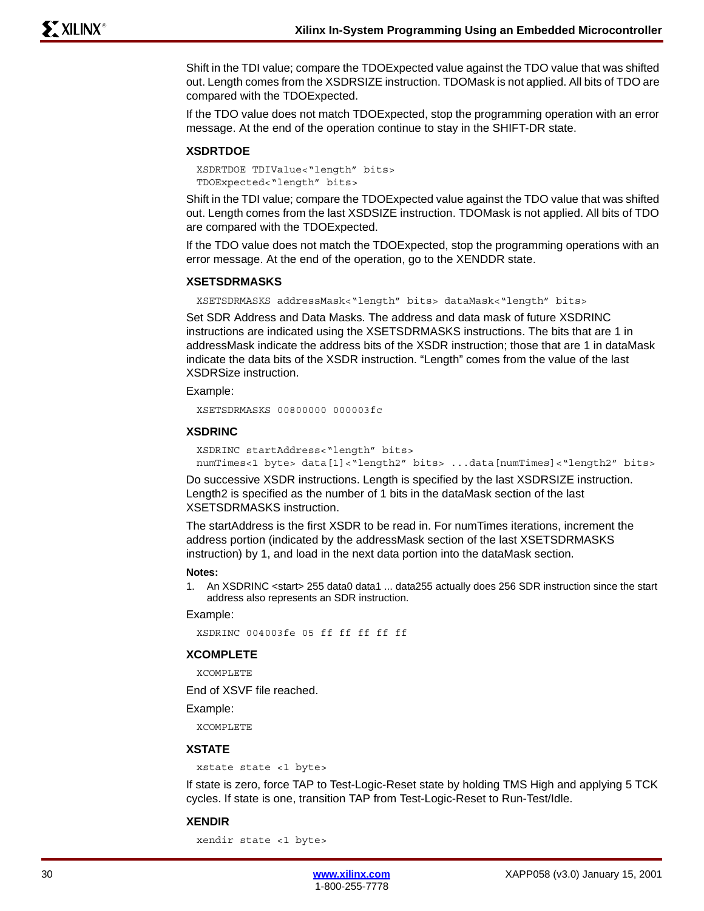Shift in the TDI value; compare the TDOExpected value against the TDO value that was shifted out. Length comes from the XSDRSIZE instruction. TDOMask is not applied. All bits of TDO are compared with the TDOExpected.

If the TDO value does not match TDOExpected, stop the programming operation with an error message. At the end of the operation continue to stay in the SHIFT-DR state.

#### **XSDRTDOE**

```
XSDRTDOE TDIValue<"length" bits> 
TDOExpected<"length" bits>
```
Shift in the TDI value; compare the TDOExpected value against the TDO value that was shifted out. Length comes from the last XSDSIZE instruction. TDOMask is not applied. All bits of TDO are compared with the TDOExpected.

If the TDO value does not match the TDOExpected, stop the programming operations with an error message. At the end of the operation, go to the XENDDR state.

#### **XSETSDRMASKS**

XSETSDRMASKS addressMask<"length" bits> dataMask<"length" bits>

Set SDR Address and Data Masks. The address and data mask of future XSDRINC instructions are indicated using the XSETSDRMASKS instructions. The bits that are 1 in addressMask indicate the address bits of the XSDR instruction; those that are 1 in dataMask indicate the data bits of the XSDR instruction. "Length" comes from the value of the last XSDRSize instruction.

#### Example:

XSETSDRMASKS 00800000 000003fc

#### **XSDRINC**

```
XSDRINC startAddress<"length" bits> 
numTimes<1 byte> data[1]<"length2" bits> ...data[numTimes]<"length2" bits>
```
Do successive XSDR instructions. Length is specified by the last XSDRSIZE instruction. Length2 is specified as the number of 1 bits in the dataMask section of the last XSETSDRMASKS instruction.

The startAddress is the first XSDR to be read in. For numTimes iterations, increment the address portion (indicated by the addressMask section of the last XSETSDRMASKS instruction) by 1, and load in the next data portion into the dataMask section.

#### **Notes:**

1. An XSDRINC <start> 255 data0 data1 ... data255 actually does 256 SDR instruction since the start address also represents an SDR instruction.

#### Example:

XSDRINC 004003fe 05 ff ff ff ff ff

#### **XCOMPLETE**

XCOMPLETE

End of XSVF file reached.

Example:

XCOMPLETE

### **XSTATE**

```
xstate state <1 byte>
```
If state is zero, force TAP to Test-Logic-Reset state by holding TMS High and applying 5 TCK cycles. If state is one, transition TAP from Test-Logic-Reset to Run-Test/Idle.

#### **XENDIR**

xendir state <1 byte>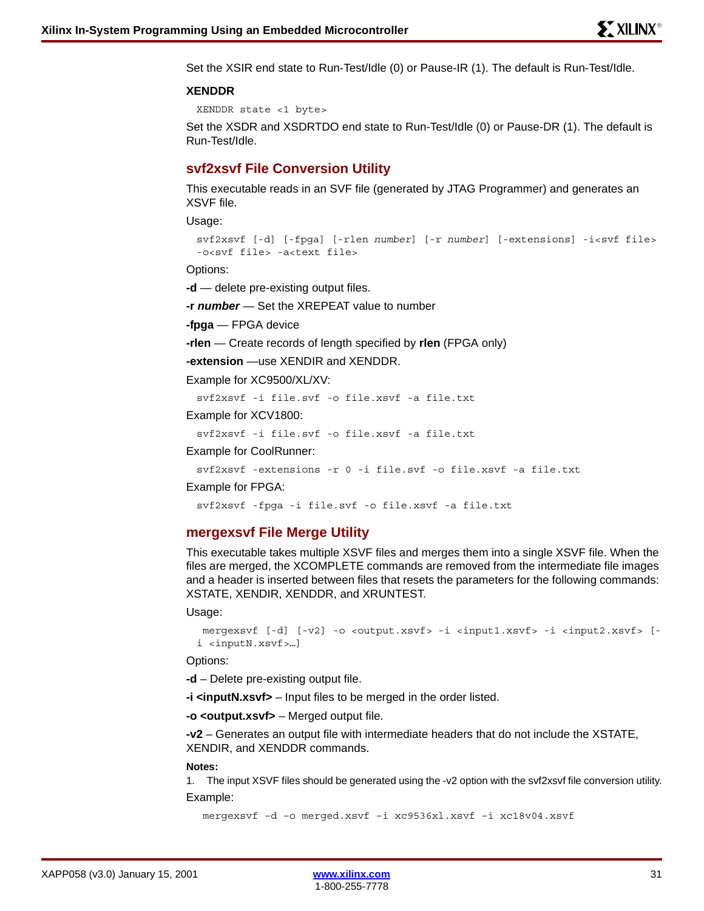Set the XSIR end state to Run-Test/Idle (0) or Pause-IR (1). The default is Run-Test/Idle.

#### **XENDDR**

XENDDR state <1 byte>

Set the XSDR and XSDRTDO end state to Run-Test/Idle (0) or Pause-DR (1). The default is Run-Test/Idle.

# **svf2xsvf File Conversion Utility**

This executable reads in an SVF file (generated by JTAG Programmer) and generates an XSVF file.

Usage:

```
svf2xsvf [-d] [-fpga] [-rlen number] [-r number] [-extensions] -i<svf file> 
-o<svf file> -a<text file>
```
Options:

**-d** — delete pre-existing output files.

**-r** *number* — Set the XREPEAT value to number

**-fpga** — FPGA device

**-rlen** — Create records of length specified by **rlen** (FPGA only)

**-extension** —use XENDIR and XENDDR.

Example for XC9500/XL/XV:

svf2xsvf -i file.svf -o file.xsvf -a file.txt

Example for XCV1800:

svf2xsvf -i file.svf -o file.xsvf -a file.txt

Example for CoolRunner:

svf2xsvf -extensions -r 0 -i file.svf -o file.xsvf -a file.txt

Example for FPGA:

svf2xsvf -fpga -i file.svf -o file.xsvf -a file.txt

## **mergexsvf File Merge Utility**

This executable takes multiple XSVF files and merges them into a single XSVF file. When the files are merged, the XCOMPLETE commands are removed from the intermediate file images and a header is inserted between files that resets the parameters for the following commands: XSTATE, XENDIR, XENDDR, and XRUNTEST.

Usage:

```
 mergexsvf [-d] [-v2] -o <output.xsvf> -i <input1.xsvf> -i <input2.xsvf> [-
i <inputN.xsvf>…]
```
Options:

**-d** – Delete pre-existing output file.

**-i <inputN.xsvf>** – Input files to be merged in the order listed.

**-o <output.xsvf>** – Merged output file.

**-v2** – Generates an output file with intermediate headers that do not include the XSTATE, XENDIR, and XENDDR commands.

#### **Notes:**

1. The input XSVF files should be generated using the -v2 option with the svf2xsvf file conversion utility. Example:

mergexsvf –d –o merged.xsvf –i xc9536xl.xsvf –i xc18v04.xsvf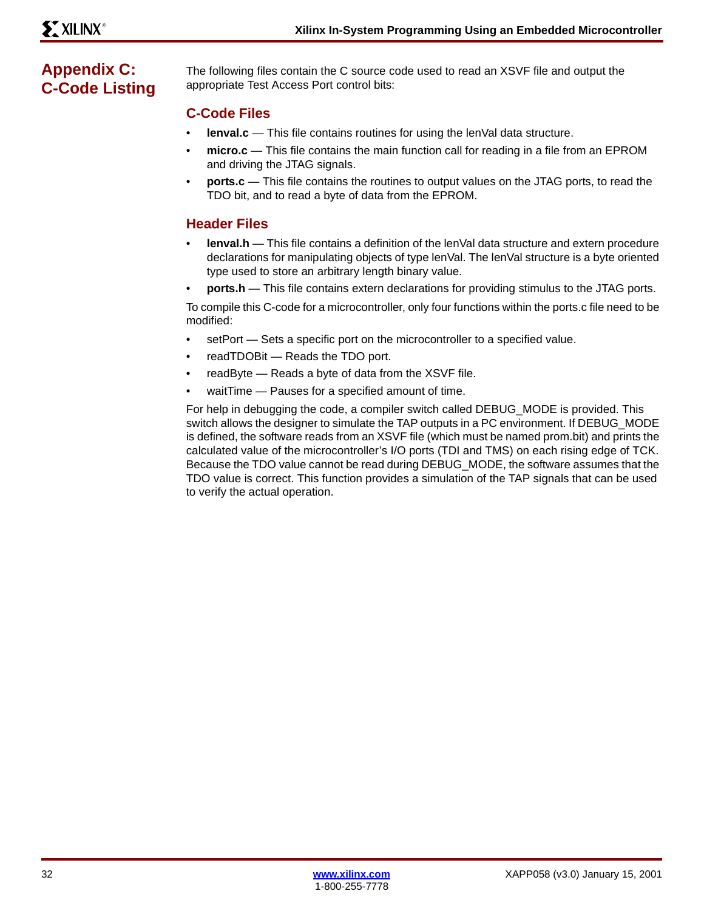# <span id="page-31-0"></span>**Appendix C: C-Code Listing**

The following files contain the C source code used to read an XSVF file and output the appropriate Test Access Port control bits:

# **C-Code Files**

- **lenval.c** This file contains routines for using the lenVal data structure.
- **micro.c** This file contains the main function call for reading in a file from an EPROM and driving the JTAG signals.
- **ports.c** This file contains the routines to output values on the JTAG ports, to read the TDO bit, and to read a byte of data from the EPROM.

# **Header Files**

- **lenval.h** This file contains a definition of the lenVal data structure and extern procedure declarations for manipulating objects of type lenVal. The lenVal structure is a byte oriented type used to store an arbitrary length binary value.
- **ports.h** This file contains extern declarations for providing stimulus to the JTAG ports.

To compile this C-code for a microcontroller, only four functions within the ports.c file need to be modified:

- setPort Sets a specific port on the microcontroller to a specified value.
- readTDOBit Reads the TDO port.
- readByte Reads a byte of data from the XSVF file.
- waitTime Pauses for a specified amount of time.

For help in debugging the code, a compiler switch called DEBUG\_MODE is provided. This switch allows the designer to simulate the TAP outputs in a PC environment. If DEBUG MODE is defined, the software reads from an XSVF file (which must be named prom.bit) and prints the calculated value of the microcontroller's I/O ports (TDI and TMS) on each rising edge of TCK. Because the TDO value cannot be read during DEBUG\_MODE, the software assumes that the TDO value is correct. This function provides a simulation of the TAP signals that can be used to verify the actual operation.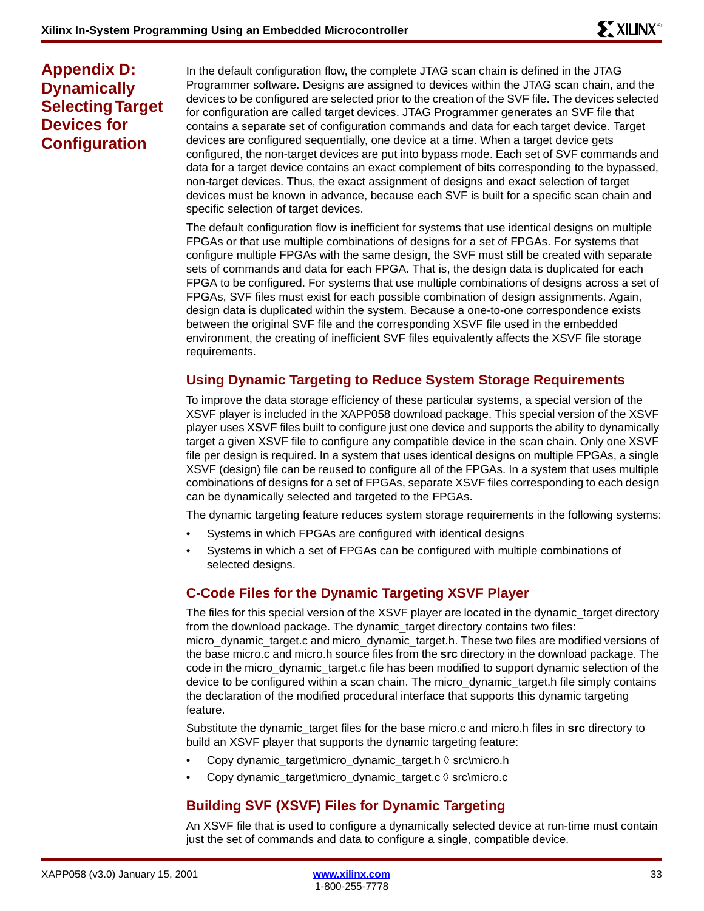# **Appendix D: Dynamically Selecting Target Devices for Configuration**

In the default configuration flow, the complete JTAG scan chain is defined in the JTAG Programmer software. Designs are assigned to devices within the JTAG scan chain, and the devices to be configured are selected prior to the creation of the SVF file. The devices selected for configuration are called target devices. JTAG Programmer generates an SVF file that contains a separate set of configuration commands and data for each target device. Target devices are configured sequentially, one device at a time. When a target device gets configured, the non-target devices are put into bypass mode. Each set of SVF commands and data for a target device contains an exact complement of bits corresponding to the bypassed, non-target devices. Thus, the exact assignment of designs and exact selection of target devices must be known in advance, because each SVF is built for a specific scan chain and specific selection of target devices.

The default configuration flow is inefficient for systems that use identical designs on multiple FPGAs or that use multiple combinations of designs for a set of FPGAs. For systems that configure multiple FPGAs with the same design, the SVF must still be created with separate sets of commands and data for each FPGA. That is, the design data is duplicated for each FPGA to be configured. For systems that use multiple combinations of designs across a set of FPGAs, SVF files must exist for each possible combination of design assignments. Again, design data is duplicated within the system. Because a one-to-one correspondence exists between the original SVF file and the corresponding XSVF file used in the embedded environment, the creating of inefficient SVF files equivalently affects the XSVF file storage requirements.

# **Using Dynamic Targeting to Reduce System Storage Requirements**

To improve the data storage efficiency of these particular systems, a special version of the XSVF player is included in the XAPP058 download package. This special version of the XSVF player uses XSVF files built to configure just one device and supports the ability to dynamically target a given XSVF file to configure any compatible device in the scan chain. Only one XSVF file per design is required. In a system that uses identical designs on multiple FPGAs, a single XSVF (design) file can be reused to configure all of the FPGAs. In a system that uses multiple combinations of designs for a set of FPGAs, separate XSVF files corresponding to each design can be dynamically selected and targeted to the FPGAs.

The dynamic targeting feature reduces system storage requirements in the following systems:

- Systems in which FPGAs are configured with identical designs
- Systems in which a set of FPGAs can be configured with multiple combinations of selected designs.

# **C-Code Files for the Dynamic Targeting XSVF Player**

The files for this special version of the XSVF player are located in the dynamic\_target directory from the download package. The dynamic\_target directory contains two files: micro dynamic target.c and micro dynamic target.h. These two files are modified versions of the base micro.c and micro.h source files from the **src** directory in the download package. The code in the micro\_dynamic\_target.c file has been modified to support dynamic selection of the device to be configured within a scan chain. The micro\_dynamic\_target.h file simply contains the declaration of the modified procedural interface that supports this dynamic targeting feature.

Substitute the dynamic\_target files for the base micro.c and micro.h files in **src** directory to build an XSVF player that supports the dynamic targeting feature:

- Copy dynamic\_target\micro\_dynamic\_target.h  $\Diamond$  src\micro.h
- Copy dynamic\_target\micro\_dynamic\_target.c src\micro.c

# **Building SVF (XSVF) Files for Dynamic Targeting**

An XSVF file that is used to configure a dynamically selected device at run-time must contain just the set of commands and data to configure a single, compatible device.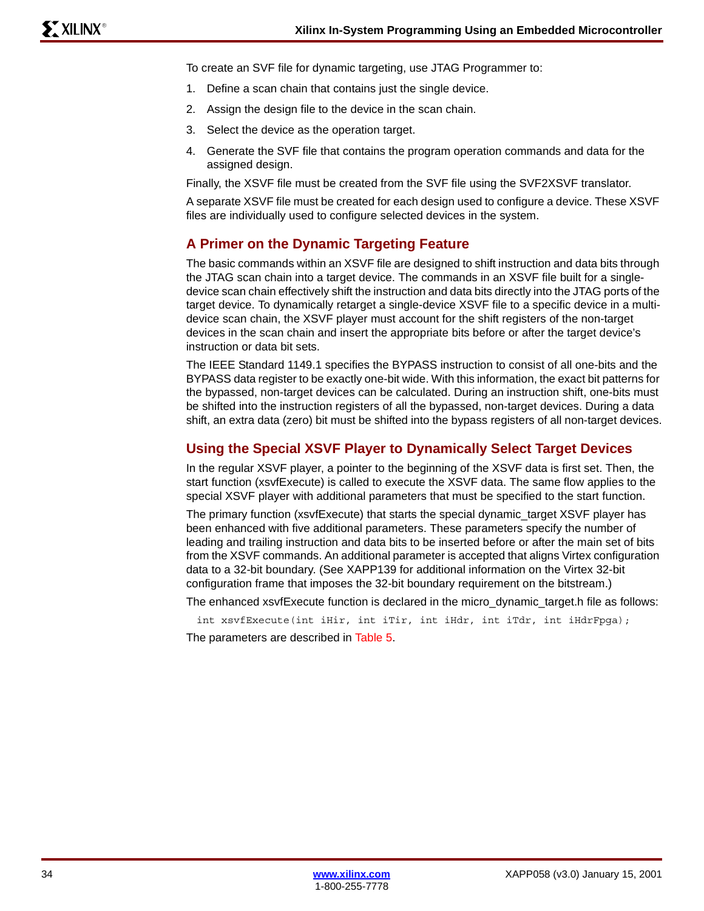To create an SVF file for dynamic targeting, use JTAG Programmer to:

- 1. Define a scan chain that contains just the single device.
- 2. Assign the design file to the device in the scan chain.
- 3. Select the device as the operation target.
- 4. Generate the SVF file that contains the program operation commands and data for the assigned design.

Finally, the XSVF file must be created from the SVF file using the SVF2XSVF translator.

A separate XSVF file must be created for each design used to configure a device. These XSVF files are individually used to configure selected devices in the system.

# **A Primer on the Dynamic Targeting Feature**

The basic commands within an XSVF file are designed to shift instruction and data bits through the JTAG scan chain into a target device. The commands in an XSVF file built for a singledevice scan chain effectively shift the instruction and data bits directly into the JTAG ports of the target device. To dynamically retarget a single-device XSVF file to a specific device in a multidevice scan chain, the XSVF player must account for the shift registers of the non-target devices in the scan chain and insert the appropriate bits before or after the target device's instruction or data bit sets.

The IEEE Standard 1149.1 specifies the BYPASS instruction to consist of all one-bits and the BYPASS data register to be exactly one-bit wide. With this information, the exact bit patterns for the bypassed, non-target devices can be calculated. During an instruction shift, one-bits must be shifted into the instruction registers of all the bypassed, non-target devices. During a data shift, an extra data (zero) bit must be shifted into the bypass registers of all non-target devices.

# **Using the Special XSVF Player to Dynamically Select Target Devices**

In the regular XSVF player, a pointer to the beginning of the XSVF data is first set. Then, the start function (xsvfExecute) is called to execute the XSVF data. The same flow applies to the special XSVF player with additional parameters that must be specified to the start function.

The primary function (xsvfExecute) that starts the special dynamic\_target XSVF player has been enhanced with five additional parameters. These parameters specify the number of leading and trailing instruction and data bits to be inserted before or after the main set of bits from the XSVF commands. An additional parameter is accepted that aligns Virtex configuration data to a 32-bit boundary. (See XAPP139 for additional information on the Virtex 32-bit configuration frame that imposes the 32-bit boundary requirement on the bitstream.)

The enhanced xsvfExecute function is declared in the micro\_dynamic\_target.h file as follows:

int xsvfExecute(int iHir, int iTir, int iHdr, int iTdr, int iHdrFpga);

The parameters are described in [Table 5](#page-34-0).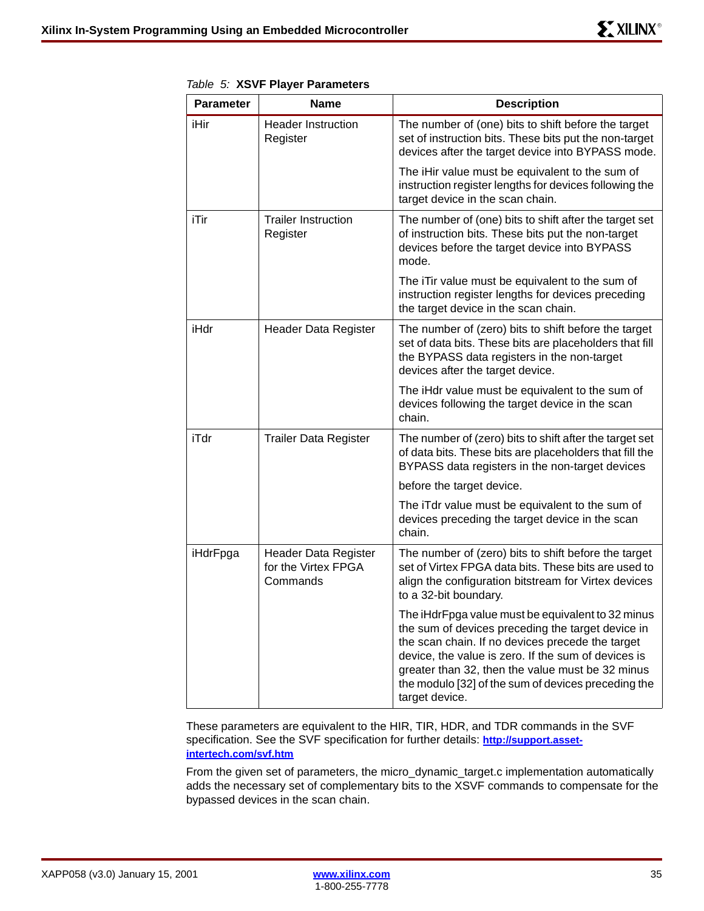| <b>Parameter</b> | <b>Name</b>                                                    | <b>Description</b>                                                                                                                                                                                                                                                                                                                             |
|------------------|----------------------------------------------------------------|------------------------------------------------------------------------------------------------------------------------------------------------------------------------------------------------------------------------------------------------------------------------------------------------------------------------------------------------|
| iHir             | <b>Header Instruction</b><br>Register                          | The number of (one) bits to shift before the target<br>set of instruction bits. These bits put the non-target<br>devices after the target device into BYPASS mode.                                                                                                                                                                             |
|                  |                                                                | The iHir value must be equivalent to the sum of<br>instruction register lengths for devices following the<br>target device in the scan chain.                                                                                                                                                                                                  |
| iTir             | <b>Trailer Instruction</b><br>Register                         | The number of (one) bits to shift after the target set<br>of instruction bits. These bits put the non-target<br>devices before the target device into BYPASS<br>mode.                                                                                                                                                                          |
|                  |                                                                | The iTir value must be equivalent to the sum of<br>instruction register lengths for devices preceding<br>the target device in the scan chain.                                                                                                                                                                                                  |
| iHdr             | Header Data Register                                           | The number of (zero) bits to shift before the target<br>set of data bits. These bits are placeholders that fill<br>the BYPASS data registers in the non-target<br>devices after the target device.                                                                                                                                             |
|                  |                                                                | The iHdr value must be equivalent to the sum of<br>devices following the target device in the scan<br>chain.                                                                                                                                                                                                                                   |
| iTdr             | <b>Trailer Data Register</b>                                   | The number of (zero) bits to shift after the target set<br>of data bits. These bits are placeholders that fill the<br>BYPASS data registers in the non-target devices                                                                                                                                                                          |
|                  |                                                                | before the target device.                                                                                                                                                                                                                                                                                                                      |
|                  |                                                                | The iTdr value must be equivalent to the sum of<br>devices preceding the target device in the scan<br>chain.                                                                                                                                                                                                                                   |
| iHdrFpga         | <b>Header Data Register</b><br>for the Virtex FPGA<br>Commands | The number of (zero) bits to shift before the target<br>set of Virtex FPGA data bits. These bits are used to<br>align the configuration bitstream for Virtex devices<br>to a 32-bit boundary.                                                                                                                                                  |
|                  |                                                                | The iHdrFpga value must be equivalent to 32 minus<br>the sum of devices preceding the target device in<br>the scan chain. If no devices precede the target<br>device, the value is zero. If the sum of devices is<br>greater than 32, then the value must be 32 minus<br>the modulo [32] of the sum of devices preceding the<br>target device. |

<span id="page-34-0"></span>*Table 5:* **XSVF Player Parameters**

These parameters are equivalent to the HIR, TIR, HDR, and TDR commands in the SVF specification. See the SVF specification for further details: **[http://support.asset](http://support.asset-intertech.com/svf.htm)[intertech.com/svf.htm](http://support.asset-intertech.com/svf.htm)**

From the given set of parameters, the micro\_dynamic\_target.c implementation automatically adds the necessary set of complementary bits to the XSVF commands to compensate for the bypassed devices in the scan chain.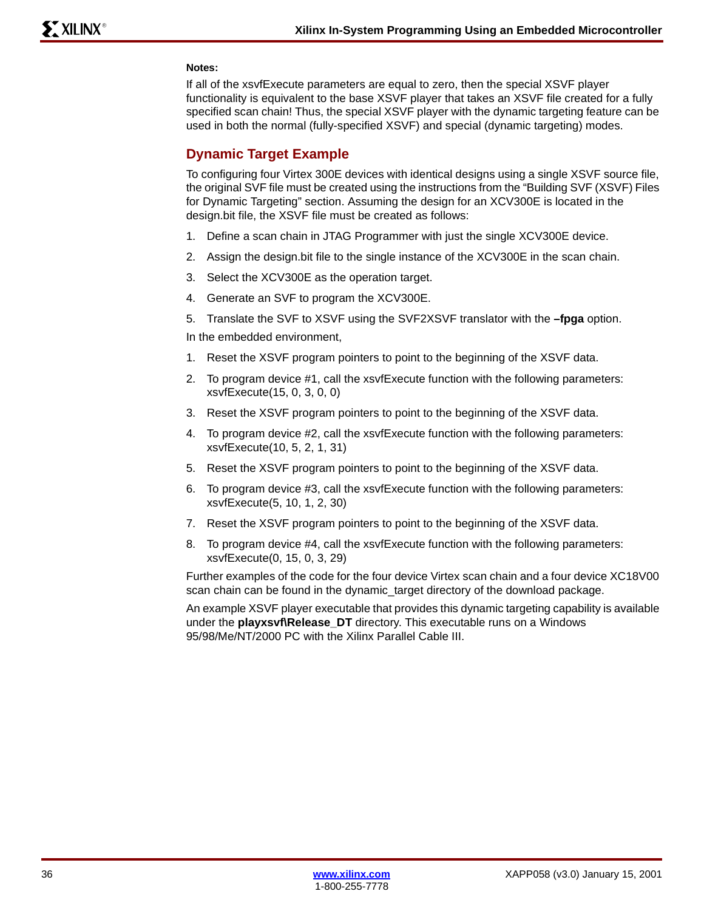# **Notes:**

If all of the xsvfExecute parameters are equal to zero, then the special XSVF player functionality is equivalent to the base XSVF player that takes an XSVF file created for a fully specified scan chain! Thus, the special XSVF player with the dynamic targeting feature can be used in both the normal (fully-specified XSVF) and special (dynamic targeting) modes.

# **Dynamic Target Example**

To configuring four Virtex 300E devices with identical designs using a single XSVF source file, the original SVF file must be created using the instructions from the "Building SVF (XSVF) Files for Dynamic Targeting" section. Assuming the design for an XCV300E is located in the design.bit file, the XSVF file must be created as follows:

- 1. Define a scan chain in JTAG Programmer with just the single XCV300E device.
- 2. Assign the design.bit file to the single instance of the XCV300E in the scan chain.
- 3. Select the XCV300E as the operation target.
- 4. Generate an SVF to program the XCV300E.
- 5. Translate the SVF to XSVF using the SVF2XSVF translator with the **–fpga** option.

In the embedded environment,

- 1. Reset the XSVF program pointers to point to the beginning of the XSVF data.
- 2. To program device #1, call the xsvfExecute function with the following parameters: xsvfExecute(15, 0, 3, 0, 0)
- 3. Reset the XSVF program pointers to point to the beginning of the XSVF data.
- 4. To program device #2, call the xsvfExecute function with the following parameters: xsvfExecute(10, 5, 2, 1, 31)
- 5. Reset the XSVF program pointers to point to the beginning of the XSVF data.
- 6. To program device #3, call the xsvfExecute function with the following parameters: xsvfExecute(5, 10, 1, 2, 30)
- 7. Reset the XSVF program pointers to point to the beginning of the XSVF data.
- 8. To program device #4, call the xsvfExecute function with the following parameters: xsvfExecute(0, 15, 0, 3, 29)

Further examples of the code for the four device Virtex scan chain and a four device XC18V00 scan chain can be found in the dynamic\_target directory of the download package.

An example XSVF player executable that provides this dynamic targeting capability is available under the **playxsvf\Release\_DT** directory. This executable runs on a Windows 95/98/Me/NT/2000 PC with the Xilinx Parallel Cable III.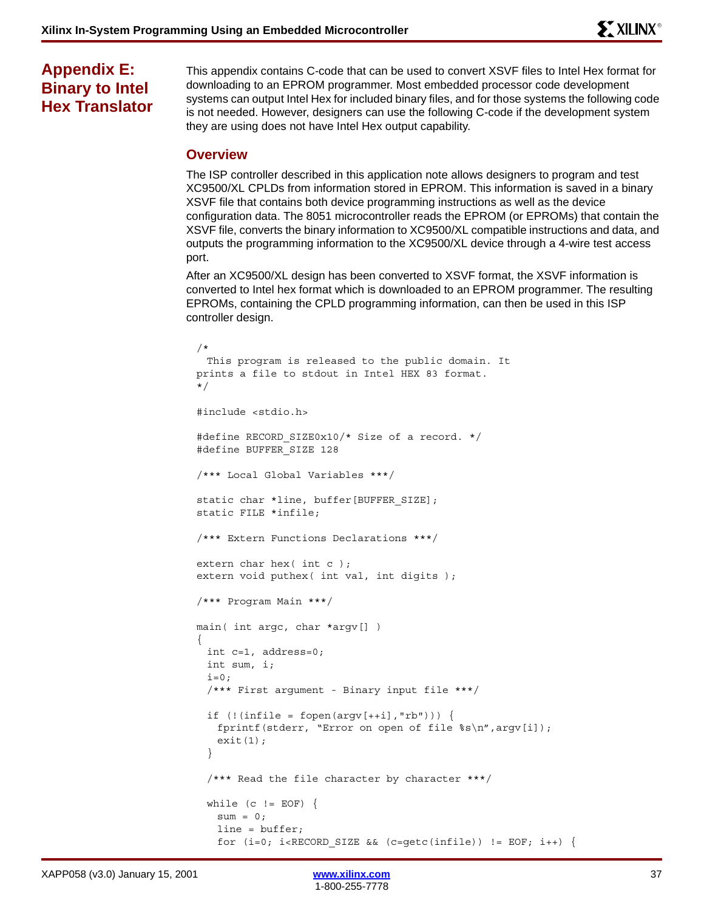# **Appendix E: Binary to Intel Hex Translator**

This appendix contains C-code that can be used to convert XSVF files to Intel Hex format for downloading to an EPROM programmer. Most embedded processor code development systems can output Intel Hex for included binary files, and for those systems the following code is not needed. However, designers can use the following C-code if the development system they are using does not have Intel Hex output capability.

# **Overview**

The ISP controller described in this application note allows designers to program and test XC9500/XL CPLDs from information stored in EPROM. This information is saved in a binary XSVF file that contains both device programming instructions as well as the device configuration data. The 8051 microcontroller reads the EPROM (or EPROMs) that contain the XSVF file, converts the binary information to XC9500/XL compatible instructions and data, and outputs the programming information to the XC9500/XL device through a 4-wire test access port.

After an XC9500/XL design has been converted to XSVF format, the XSVF information is converted to Intel hex format which is downloaded to an EPROM programmer. The resulting EPROMs, containing the CPLD programming information, can then be used in this ISP controller design.

```
/*
 This program is released to the public domain. It 
prints a file to stdout in Intel HEX 83 format. 
*/
#include <stdio.h>
#define RECORD_SIZE0x10/* Size of a record. */
#define BUFFER_SIZE 128
/*** Local Global Variables ***/
static char *line, buffer[BUFFER SIZE];
static FILE *infile;
/*** Extern Functions Declarations ***/
extern char hex( int c );
extern void puthex (int val, int digits);
/*** Program Main ***/
main( int argc, char *argv[] )
{
 int c=1, address=0;
 int sum, i;
 i=0;/*** First argument - Binary input file ***/
 if (! (infile = fopen(argv[++i], "rb")) ) { }fprintf(stderr, "Error on open of file s\nm, argv[i]);
   exit(1);}
  /*** Read the file character by character ***/
 while (c := EOF) {
   sum = 0;line = buffer;
   for (i=0; i < RECORD_SIZE \&c = getc (infile)) != EOF; i++) {
```